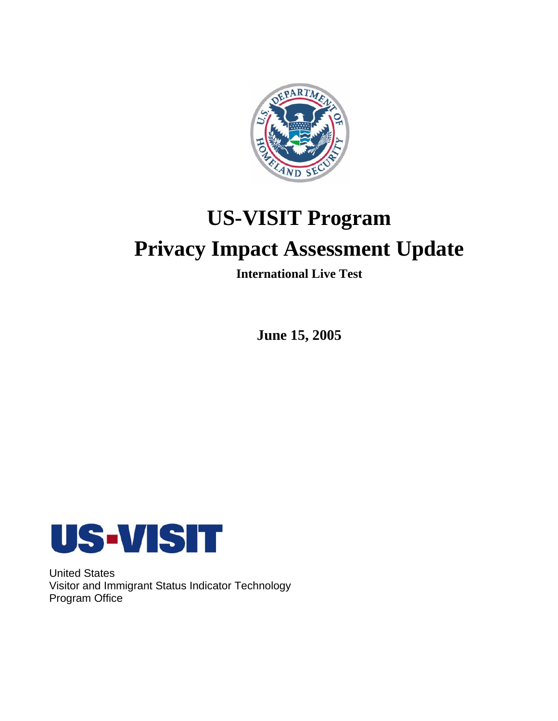

# **US-VISIT Program**

# **Privacy Impact Assessment Update**

**International Live Test** 

**June 15, 2005** 



United States Visitor and Immigrant Status Indicator Technology Program Office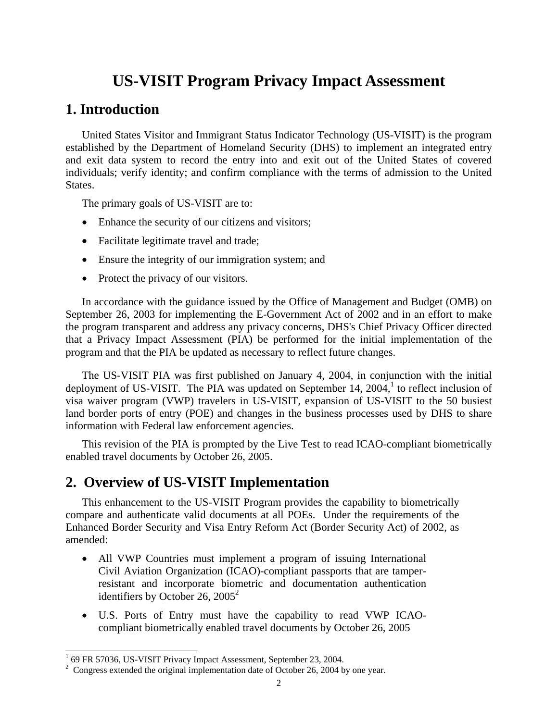# **US-VISIT Program Privacy Impact Assessment**

### **1. Introduction**

United States Visitor and Immigrant Status Indicator Technology (US-VISIT) is the program established by the Department of Homeland Security (DHS) to implement an integrated entry and exit data system to record the entry into and exit out of the United States of covered individuals; verify identity; and confirm compliance with the terms of admission to the United States.

The primary goals of US-VISIT are to:

- Enhance the security of our citizens and visitors;
- Facilitate legitimate travel and trade;
- Ensure the integrity of our immigration system; and
- Protect the privacy of our visitors.

In accordance with the guidance issued by the Office of Management and Budget (OMB) on September 26, 2003 for implementing the E-Government Act of 2002 and in an effort to make the program transparent and address any privacy concerns, DHS's Chief Privacy Officer directed that a Privacy Impact Assessment (PIA) be performed for the initial implementation of the program and that the PIA be updated as necessary to reflect future changes.

The US-VISIT PIA was first published on January 4, 2004, in conjunction with the initial deployment of US-VISIT. The PIA was updated on September 14,  $2004$ , to reflect inclusion of visa waiver program (VWP) travelers in US-VISIT, expansion of US-VISIT to the 50 busiest land border ports of entry (POE) and changes in the business processes used by DHS to share information with Federal law enforcement agencies.

This revision of the PIA is prompted by the Live Test to read ICAO-compliant biometrically enabled travel documents by October 26, 2005.

# **2. Overview of US-VISIT Implementation**

This enhancement to the US-VISIT Program provides the capability to biometrically compare and authenticate valid documents at all POEs. Under the requirements of the Enhanced Border Security and Visa Entry Reform Act (Border Security Act) of 2002, as amended:

- All VWP Countries must implement a program of issuing International Civil Aviation Organization (ICAO)-compliant passports that are tamperresistant and incorporate biometric and documentation authentication identifiers by October 26,  $2005^2$
- • U.S. Ports of Entry must have the capability to read VWP ICAOcompliant biometrically enabled travel documents by October 26, 2005

 $\frac{1}{169}$  FR 57036, US-VISIT Privacy Impact Assessment, September 23, 2004.

 $2$  Congress extended the original implementation date of October 26, 2004 by one year.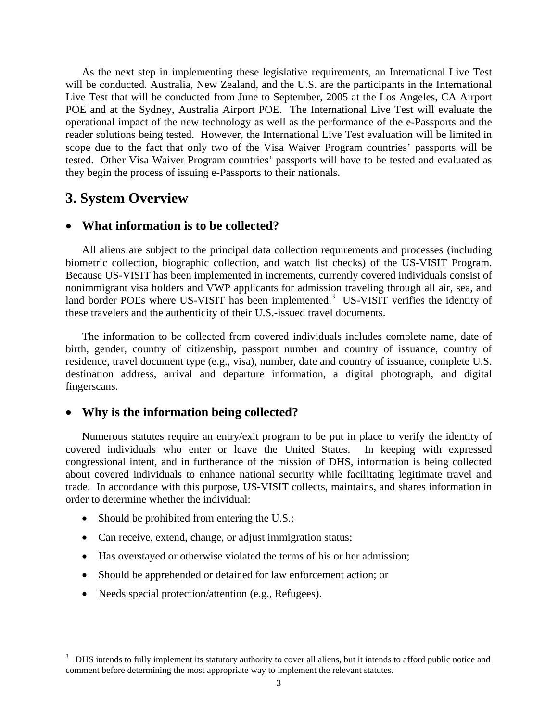As the next step in implementing these legislative requirements, an International Live Test will be conducted. Australia, New Zealand, and the U.S. are the participants in the International Live Test that will be conducted from June to September, 2005 at the Los Angeles, CA Airport POE and at the Sydney, Australia Airport POE. The International Live Test will evaluate the operational impact of the new technology as well as the performance of the e-Passports and the reader solutions being tested. However, the International Live Test evaluation will be limited in scope due to the fact that only two of the Visa Waiver Program countries' passports will be tested. Other Visa Waiver Program countries' passports will have to be tested and evaluated as they begin the process of issuing e-Passports to their nationals.

## **3. System Overview**

#### • **What information is to be collected?**

All aliens are subject to the principal data collection requirements and processes (including biometric collection, biographic collection, and watch list checks) of the US-VISIT Program. Because US-VISIT has been implemented in increments, currently covered individuals consist of nonimmigrant visa holders and VWP applicants for admission traveling through all air, sea, and land border POEs where US-VISIT has been implemented.<sup>3</sup> US-VISIT verifies the identity of these travelers and the authenticity of their U.S.-issued travel documents.

The information to be collected from covered individuals includes complete name, date of birth, gender, country of citizenship, passport number and country of issuance, country of residence, travel document type (e.g., visa), number, date and country of issuance, complete U.S. destination address, arrival and departure information, a digital photograph, and digital fingerscans.

#### • **Why is the information being collected?**

Numerous statutes require an entry/exit program to be put in place to verify the identity of covered individuals who enter or leave the United States. In keeping with expressed congressional intent, and in furtherance of the mission of DHS, information is being collected about covered individuals to enhance national security while facilitating legitimate travel and trade. In accordance with this purpose, US-VISIT collects, maintains, and shares information in order to determine whether the individual:

- Should be prohibited from entering the U.S.;
- Can receive, extend, change, or adjust immigration status;
- Has overstayed or otherwise violated the terms of his or her admission;
- Should be apprehended or detained for law enforcement action; or
- Needs special protection/attention (e.g., Refugees).

 3 DHS intends to fully implement its statutory authority to cover all aliens, but it intends to afford public notice and comment before determining the most appropriate way to implement the relevant statutes.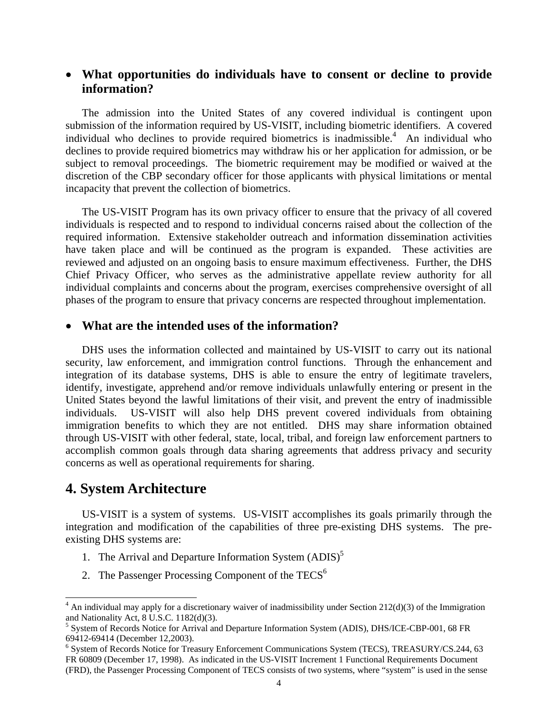### • **What opportunities do individuals have to consent or decline to provide information?**

The admission into the United States of any covered individual is contingent upon submission of the information required by US-VISIT, including biometric identifiers. A covered individual who declines to provide required biometrics is inadmissible.<sup>4</sup> An individual who declines to provide required biometrics may withdraw his or her application for admission, or be subject to removal proceedings. The biometric requirement may be modified or waived at the discretion of the CBP secondary officer for those applicants with physical limitations or mental incapacity that prevent the collection of biometrics.

The US-VISIT Program has its own privacy officer to ensure that the privacy of all covered individuals is respected and to respond to individual concerns raised about the collection of the required information. Extensive stakeholder outreach and information dissemination activities have taken place and will be continued as the program is expanded. These activities are reviewed and adjusted on an ongoing basis to ensure maximum effectiveness. Further, the DHS Chief Privacy Officer, who serves as the administrative appellate review authority for all individual complaints and concerns about the program, exercises comprehensive oversight of all phases of the program to ensure that privacy concerns are respected throughout implementation.

#### • **What are the intended uses of the information?**

DHS uses the information collected and maintained by US-VISIT to carry out its national security, law enforcement, and immigration control functions. Through the enhancement and integration of its database systems, DHS is able to ensure the entry of legitimate travelers, identify, investigate, apprehend and/or remove individuals unlawfully entering or present in the United States beyond the lawful limitations of their visit, and prevent the entry of inadmissible individuals. US-VISIT will also help DHS prevent covered individuals from obtaining immigration benefits to which they are not entitled. DHS may share information obtained through US-VISIT with other federal, state, local, tribal, and foreign law enforcement partners to accomplish common goals through data sharing agreements that address privacy and security concerns as well as operational requirements for sharing.

## **4. System Architecture**

 $\overline{a}$ 

US-VISIT is a system of systems. US-VISIT accomplishes its goals primarily through the integration and modification of the capabilities of three pre-existing DHS systems. The preexisting DHS systems are:

- 1. The Arrival and Departure Information System  $(ADIS)^5$
- 2. The Passenger Processing Component of the  $TECS<sup>6</sup>$

 $4$  An individual may apply for a discretionary waiver of inadmissibility under Section 212(d)(3) of the Immigration and Nationality Act, 8 U.S.C. 1182(d)(3).

<sup>&</sup>lt;sup>5</sup> System of Records Notice for Arrival and Departure Information System (ADIS), DHS/ICE-CBP-001, 68 FR 69412-69414 (December 12,2003). 6

<sup>&</sup>lt;sup>6</sup> System of Records Notice for Treasury Enforcement Communications System (TECS), TREASURY/CS.244, 63 FR 60809 (December 17, 1998). As indicated in the US-VISIT Increment 1 Functional Requirements Document (FRD), the Passenger Processing Component of TECS consists of two systems, where "system" is used in the sense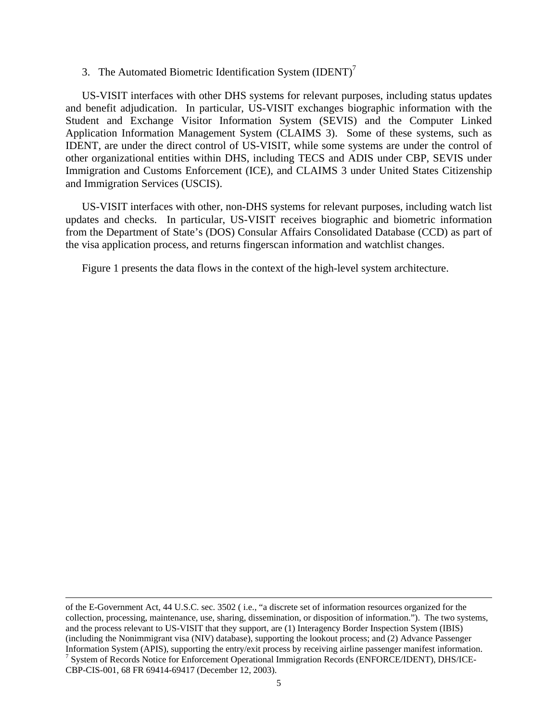#### 3. The Automated Biometric Identification System  $\text{ (IDENT)}^7$

US-VISIT interfaces with other DHS systems for relevant purposes, including status updates and benefit adjudication. In particular, US-VISIT exchanges biographic information with the Student and Exchange Visitor Information System (SEVIS) and the Computer Linked Application Information Management System (CLAIMS 3). Some of these systems, such as IDENT, are under the direct control of US-VISIT, while some systems are under the control of other organizational entities within DHS, including TECS and ADIS under CBP, SEVIS under Immigration and Customs Enforcement (ICE), and CLAIMS 3 under United States Citizenship and Immigration Services (USCIS).

US-VISIT interfaces with other, non-DHS systems for relevant purposes, including watch list updates and checks. In particular, US-VISIT receives biographic and biometric information from the Department of State's (DOS) Consular Affairs Consolidated Database (CCD) as part of the visa application process, and returns fingerscan information and watchlist changes.

Figure 1 presents the data flows in the context of the high-level system architecture.

 of the E-Government Act, 44 U.S.C. sec. 3502 ( i.e., "a discrete set of information resources organized for the collection, processing, maintenance, use, sharing, dissemination, or disposition of information."). The two systems, and the process relevant to US-VISIT that they support, are (1) Interagency Border Inspection System (IBIS) (including the Nonimmigrant visa (NIV) database), supporting the lookout process; and (2) Advance Passenger Information System (APIS), supporting the entry/exit process by receiving airline passenger manifest information. 7  $\frac{1}{3}$  System of Records Notice for Enforcement Operational Immigration Records (ENFORCE/IDENT), DHS/ICE-CBP-CIS-001, 68 FR 69414-69417 (December 12, 2003).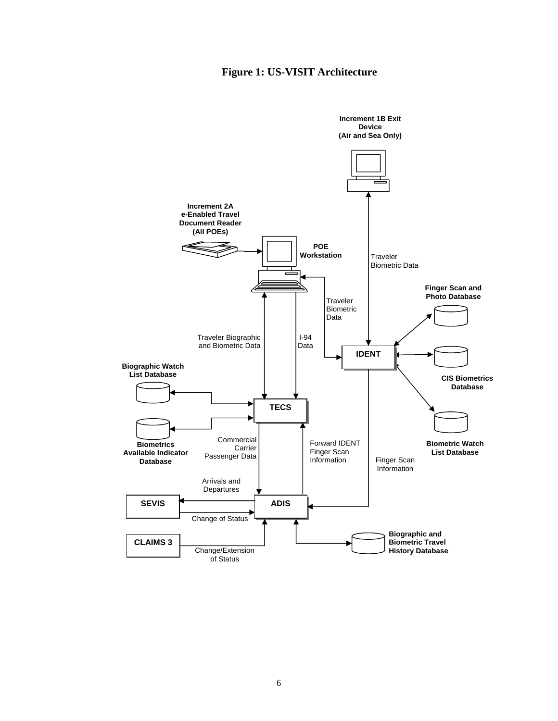### **Figure 1: US-VISIT Architecture**

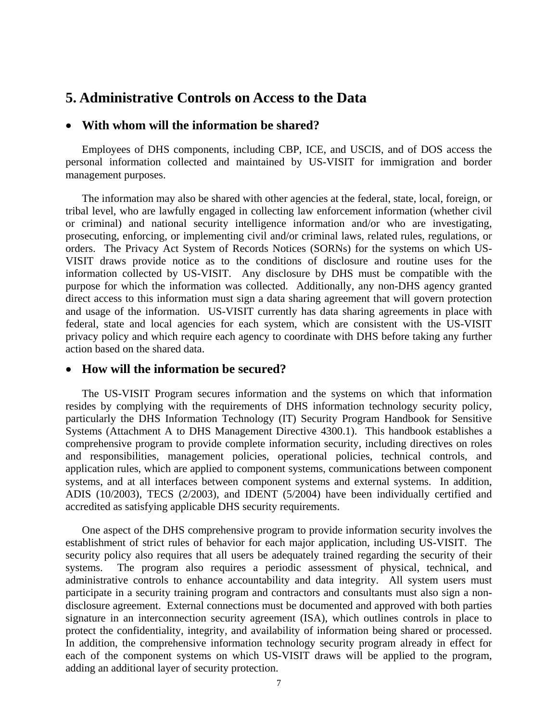### **5. Administrative Controls on Access to the Data**

#### • **With whom will the information be shared?**

Employees of DHS components, including CBP, ICE, and USCIS, and of DOS access the personal information collected and maintained by US-VISIT for immigration and border management purposes.

The information may also be shared with other agencies at the federal, state, local, foreign, or tribal level, who are lawfully engaged in collecting law enforcement information (whether civil or criminal) and national security intelligence information and/or who are investigating, prosecuting, enforcing, or implementing civil and/or criminal laws, related rules, regulations, or orders. The Privacy Act System of Records Notices (SORNs) for the systems on which US-VISIT draws provide notice as to the conditions of disclosure and routine uses for the information collected by US-VISIT. Any disclosure by DHS must be compatible with the purpose for which the information was collected. Additionally, any non-DHS agency granted direct access to this information must sign a data sharing agreement that will govern protection and usage of the information. US-VISIT currently has data sharing agreements in place with federal, state and local agencies for each system, which are consistent with the US-VISIT privacy policy and which require each agency to coordinate with DHS before taking any further action based on the shared data.

#### • **How will the information be secured?**

The US-VISIT Program secures information and the systems on which that information resides by complying with the requirements of DHS information technology security policy, particularly the DHS Information Technology (IT) Security Program Handbook for Sensitive Systems (Attachment A to DHS Management Directive 4300.1). This handbook establishes a comprehensive program to provide complete information security, including directives on roles and responsibilities, management policies, operational policies, technical controls, and application rules, which are applied to component systems, communications between component systems, and at all interfaces between component systems and external systems. In addition, ADIS (10/2003), TECS (2/2003), and IDENT (5/2004) have been individually certified and accredited as satisfying applicable DHS security requirements.

One aspect of the DHS comprehensive program to provide information security involves the establishment of strict rules of behavior for each major application, including US-VISIT. The security policy also requires that all users be adequately trained regarding the security of their systems. The program also requires a periodic assessment of physical, technical, and administrative controls to enhance accountability and data integrity. All system users must participate in a security training program and contractors and consultants must also sign a nondisclosure agreement. External connections must be documented and approved with both parties signature in an interconnection security agreement (ISA), which outlines controls in place to protect the confidentiality, integrity, and availability of information being shared or processed. In addition, the comprehensive information technology security program already in effect for each of the component systems on which US-VISIT draws will be applied to the program, adding an additional layer of security protection.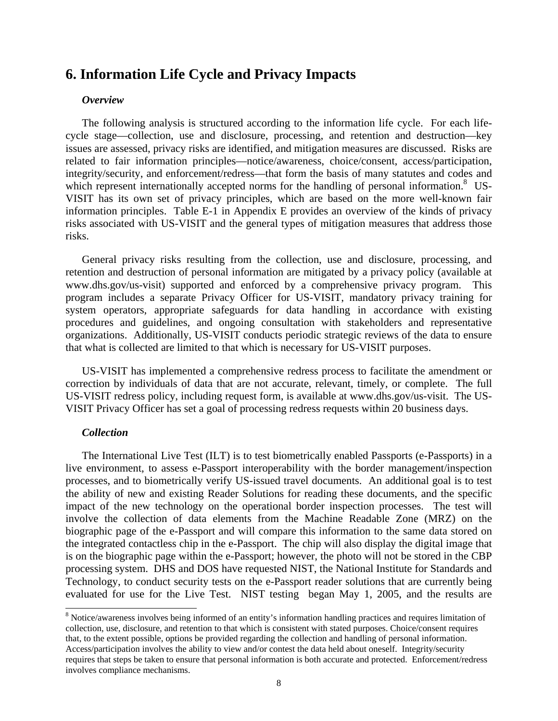# **6. Information Life Cycle and Privacy Impacts**

#### *Overview*

The following analysis is structured according to the information life cycle. For each lifecycle stage—collection, use and disclosure, processing, and retention and destruction—key issues are assessed, privacy risks are identified, and mitigation measures are discussed. Risks are related to fair information principles—notice/awareness, choice/consent, access/participation, integrity/security, and enforcement/redress—that form the basis of many statutes and codes and which represent internationally accepted norms for the handling of personal information.<sup>8</sup> US-VISIT has its own set of privacy principles, which are based on the more well-known fair information principles. Table E-1 in Appendix E provides an overview of the kinds of privacy risks associated with US-VISIT and the general types of mitigation measures that address those risks.

General privacy risks resulting from the collection, use and disclosure, processing, and retention and destruction of personal information are mitigated by a privacy policy (available at www.dhs.gov/us-visit) supported and enforced by a comprehensive privacy program. This program includes a separate Privacy Officer for US-VISIT, mandatory privacy training for system operators, appropriate safeguards for data handling in accordance with existing procedures and guidelines, and ongoing consultation with stakeholders and representative organizations. Additionally, US-VISIT conducts periodic strategic reviews of the data to ensure that what is collected are limited to that which is necessary for US-VISIT purposes.

US-VISIT has implemented a comprehensive redress process to facilitate the amendment or correction by individuals of data that are not accurate, relevant, timely, or complete. The full US-VISIT redress policy, including request form, is available at www.dhs.gov/us-visit. The US-VISIT Privacy Officer has set a goal of processing redress requests within 20 business days.

#### *Collection*

 $\overline{a}$ 

The International Live Test (ILT) is to test biometrically enabled Passports (e-Passports) in a live environment, to assess e-Passport interoperability with the border management/inspection processes, and to biometrically verify US-issued travel documents. An additional goal is to test the ability of new and existing Reader Solutions for reading these documents, and the specific impact of the new technology on the operational border inspection processes. The test will involve the collection of data elements from the Machine Readable Zone (MRZ) on the biographic page of the e-Passport and will compare this information to the same data stored on the integrated contactless chip in the e-Passport. The chip will also display the digital image that is on the biographic page within the e-Passport; however, the photo will not be stored in the CBP processing system. DHS and DOS have requested NIST, the National Institute for Standards and Technology, to conduct security tests on the e-Passport reader solutions that are currently being evaluated for use for the Live Test. NIST testing began May 1, 2005, and the results are

<sup>&</sup>lt;sup>8</sup> Notice/awareness involves being informed of an entity's information handling practices and requires limitation of collection, use, disclosure, and retention to that which is consistent with stated purposes. Choice/consent requires that, to the extent possible, options be provided regarding the collection and handling of personal information. Access/participation involves the ability to view and/or contest the data held about oneself. Integrity/security requires that steps be taken to ensure that personal information is both accurate and protected. Enforcement/redress involves compliance mechanisms.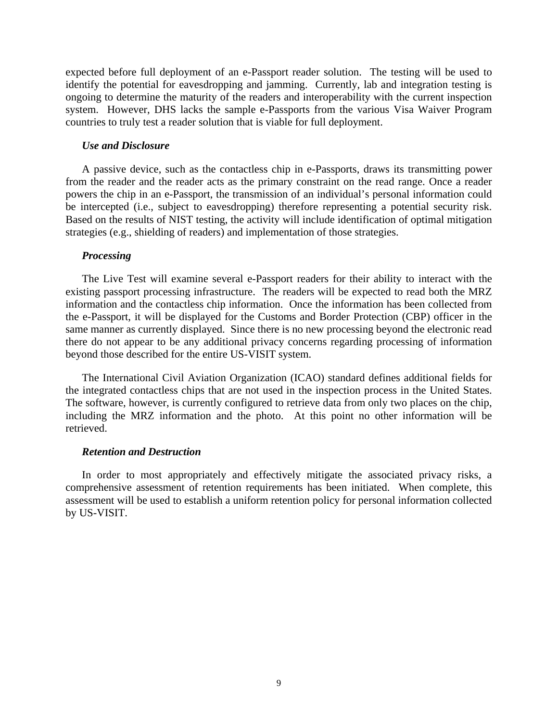expected before full deployment of an e-Passport reader solution. The testing will be used to identify the potential for eavesdropping and jamming. Currently, lab and integration testing is ongoing to determine the maturity of the readers and interoperability with the current inspection system. However, DHS lacks the sample e-Passports from the various Visa Waiver Program countries to truly test a reader solution that is viable for full deployment.

#### *Use and Disclosure*

A passive device, such as the contactless chip in e-Passports, draws its transmitting power from the reader and the reader acts as the primary constraint on the read range. Once a reader powers the chip in an e-Passport, the transmission of an individual's personal information could be intercepted (i.e., subject to eavesdropping) therefore representing a potential security risk. Based on the results of NIST testing, the activity will include identification of optimal mitigation strategies (e.g., shielding of readers) and implementation of those strategies.

#### *Processing*

The Live Test will examine several e-Passport readers for their ability to interact with the existing passport processing infrastructure. The readers will be expected to read both the MRZ information and the contactless chip information. Once the information has been collected from the e-Passport, it will be displayed for the Customs and Border Protection (CBP) officer in the same manner as currently displayed. Since there is no new processing beyond the electronic read there do not appear to be any additional privacy concerns regarding processing of information beyond those described for the entire US-VISIT system.

The International Civil Aviation Organization (ICAO) standard defines additional fields for the integrated contactless chips that are not used in the inspection process in the United States. The software, however, is currently configured to retrieve data from only two places on the chip, including the MRZ information and the photo. At this point no other information will be retrieved.

#### *Retention and Destruction*

In order to most appropriately and effectively mitigate the associated privacy risks, a comprehensive assessment of retention requirements has been initiated. When complete, this assessment will be used to establish a uniform retention policy for personal information collected by US-VISIT.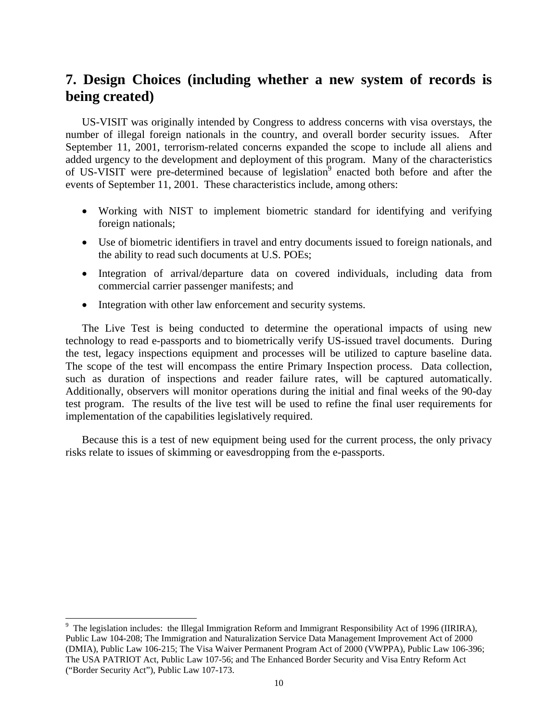# **7. Design Choices (including whether a new system of records is being created)**

US-VISIT was originally intended by Congress to address concerns with visa overstays, the number of illegal foreign nationals in the country, and overall border security issues. After September 11, 2001, terrorism-related concerns expanded the scope to include all aliens and added urgency to the development and deployment of this program. Many of the characteristics of US-VISIT were pre-determined because of legislation<sup>9</sup> enacted both before and after the events of September 11, 2001. These characteristics include, among others:

- Working with NIST to implement biometric standard for identifying and verifying foreign nationals;
- Use of biometric identifiers in travel and entry documents issued to foreign nationals, and the ability to read such documents at U.S. POEs;
- • Integration of arrival/departure data on covered individuals, including data from commercial carrier passenger manifests; and
- Integration with other law enforcement and security systems.

the test, legacy inspections equipment and processes will be utilized to capture baseline data. such as duration of inspections and reader failure rates, will be captured automatically. The Live Test is being conducted to determine the operational impacts of using new technology to read e-passports and to biometrically verify US-issued travel documents. During The scope of the test will encompass the entire Primary Inspection process. Data collection, Additionally, observers will monitor operations during the initial and final weeks of the 90-day test program. The results of the live test will be used to refine the final user requirements for implementation of the capabilities legislatively required.

Because this is a test of new equipment being used for the current process, the only privacy risks relate to issues of skimming or eavesdropping from the e-passports.

<sup>&</sup>lt;sup>9</sup> The legislation includes: the Illegal Immigration Reform and Immigrant Responsibility Act of 1996 (IIRIRA), Public Law 104-208; The Immigration and Naturalization Service Data Management Improvement Act of 2000 (DMIA), Public Law 106-215; The Visa Waiver Permanent Program Act of 2000 (VWPPA), Public Law 106-396; The USA PATRIOT Act, Public Law 107-56; and The Enhanced Border Security and Visa Entry Reform Act ("Border Security Act"), Public Law 107-173.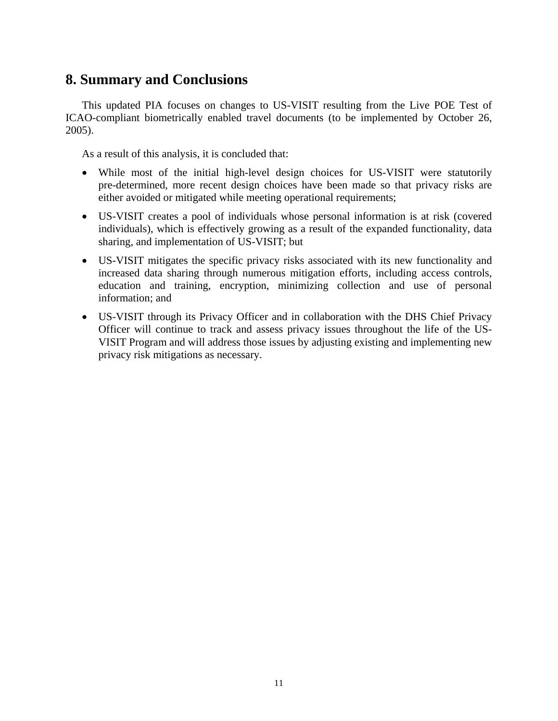# **8. Summary and Conclusions**

This updated PIA focuses on changes to US-VISIT resulting from the Live POE Test of ICAO-compliant biometrically enabled travel documents (to be implemented by October 26, 2005).

As a result of this analysis, it is concluded that:

- While most of the initial high-level design choices for US-VISIT were statutorily pre-determined, more recent design choices have been made so that privacy risks are either avoided or mitigated while meeting operational requirements;
- US-VISIT creates a pool of individuals whose personal information is at risk (covered individuals), which is effectively growing as a result of the expanded functionality, data sharing, and implementation of US-VISIT; but
- US-VISIT mitigates the specific privacy risks associated with its new functionality and increased data sharing through numerous mitigation efforts, including access controls, education and training, encryption, minimizing collection and use of personal information; and
- US-VISIT through its Privacy Officer and in collaboration with the DHS Chief Privacy Officer will continue to track and assess privacy issues throughout the life of the US-VISIT Program and will address those issues by adjusting existing and implementing new privacy risk mitigations as necessary.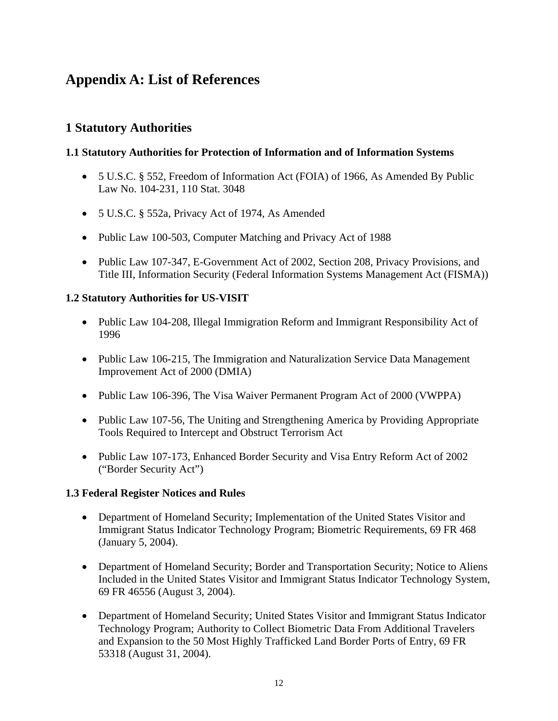# **Appendix A: List of References**

### **1 Statutory Authorities**

### **1.1 Statutory Authorities for Protection of Information and of Information Systems**

- 5 U.S.C. § 552, Freedom of Information Act (FOIA) of 1966, As Amended By Public Law No. 104-231, 110 Stat. 3048
- 5 U.S.C. § 552a, Privacy Act of 1974, As Amended
- Public Law 100-503, Computer Matching and Privacy Act of 1988
- Public Law 107-347, E-Government Act of 2002, Section 208, Privacy Provisions, and Title III, Information Security (Federal Information Systems Management Act (FISMA))

### **1.2 Statutory Authorities for US-VISIT**

- Public Law 104-208, Illegal Immigration Reform and Immigrant Responsibility Act of 1996
- Public Law 106-215, The Immigration and Naturalization Service Data Management Improvement Act of 2000 (DMIA)
- Public Law 106-396, The Visa Waiver Permanent Program Act of 2000 (VWPPA)
- Public Law 107-56, The Uniting and Strengthening America by Providing Appropriate Tools Required to Intercept and Obstruct Terrorism Act
- Public Law 107-173, Enhanced Border Security and Visa Entry Reform Act of 2002 ("Border Security Act")

#### **1.3 Federal Register Notices and Rules**

- Department of Homeland Security; Implementation of the United States Visitor and Immigrant Status Indicator Technology Program; Biometric Requirements, 69 FR 468 (January 5, 2004).
- Department of Homeland Security; Border and Transportation Security; Notice to Aliens Included in the United States Visitor and Immigrant Status Indicator Technology System, 69 FR 46556 (August 3, 2004).
- Department of Homeland Security; United States Visitor and Immigrant Status Indicator Technology Program; Authority to Collect Biometric Data From Additional Travelers and Expansion to the 50 Most Highly Trafficked Land Border Ports of Entry, 69 FR 53318 (August 31, 2004).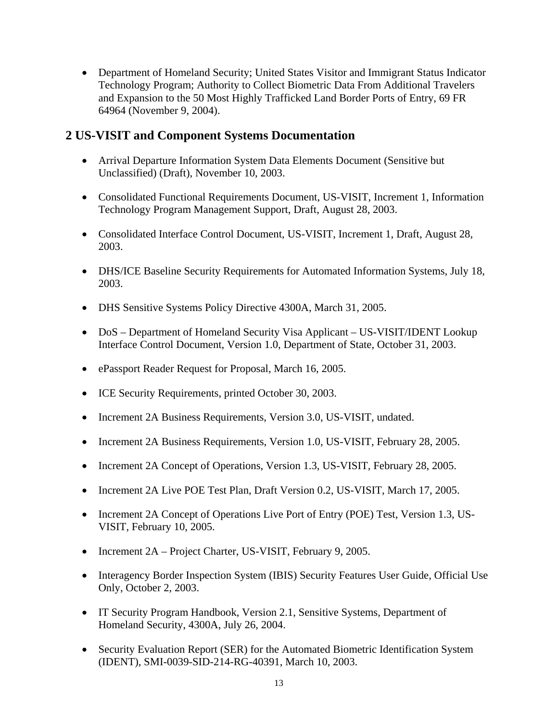• Department of Homeland Security; United States Visitor and Immigrant Status Indicator Technology Program; Authority to Collect Biometric Data From Additional Travelers and Expansion to the 50 Most Highly Trafficked Land Border Ports of Entry, 69 FR 64964 (November 9, 2004).

### **2 US-VISIT and Component Systems Documentation**

- Arrival Departure Information System Data Elements Document (Sensitive but Unclassified) (Draft), November 10, 2003.
- Consolidated Functional Requirements Document, US-VISIT, Increment 1, Information Technology Program Management Support, Draft, August 28, 2003.
- Consolidated Interface Control Document, US-VISIT, Increment 1, Draft, August 28, 2003.
- DHS/ICE Baseline Security Requirements for Automated Information Systems, July 18, 2003.
- DHS Sensitive Systems Policy Directive 4300A, March 31, 2005.
- DoS Department of Homeland Security Visa Applicant US-VISIT/IDENT Lookup Interface Control Document, Version 1.0, Department of State, October 31, 2003.
- ePassport Reader Request for Proposal, March 16, 2005.
- ICE Security Requirements, printed October 30, 2003.
- Increment 2A Business Requirements, Version 3.0, US-VISIT, undated.
- Increment 2A Business Requirements, Version 1.0, US-VISIT, February 28, 2005.
- Increment 2A Concept of Operations, Version 1.3, US-VISIT, February 28, 2005.
- Increment 2A Live POE Test Plan, Draft Version 0.2, US-VISIT, March 17, 2005.
- Increment 2A Concept of Operations Live Port of Entry (POE) Test, Version 1.3, US-VISIT, February 10, 2005.
- Increment 2A Project Charter, US-VISIT, February 9, 2005.
- Interagency Border Inspection System (IBIS) Security Features User Guide, Official Use Only, October 2, 2003.
- IT Security Program Handbook, Version 2.1, Sensitive Systems, Department of Homeland Security, 4300A, July 26, 2004.
- Security Evaluation Report (SER) for the Automated Biometric Identification System (IDENT), SMI-0039-SID-214-RG-40391, March 10, 2003.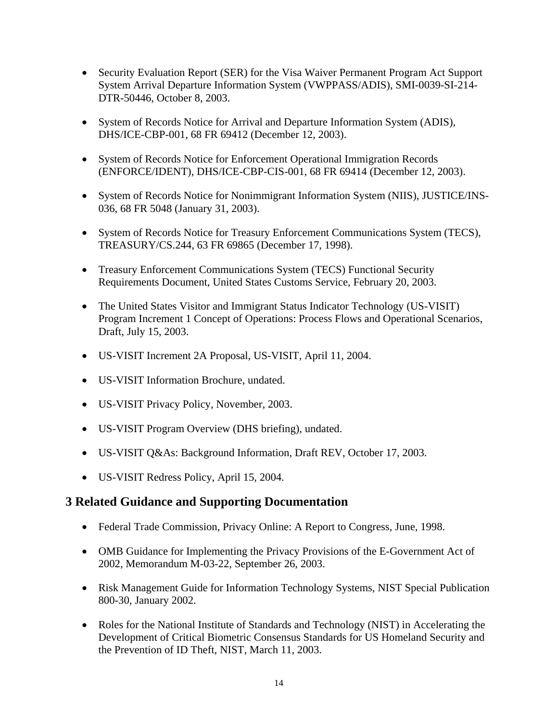- Security Evaluation Report (SER) for the Visa Waiver Permanent Program Act Support System Arrival Departure Information System (VWPPASS/ADIS), SMI-0039-SI-214- DTR-50446, October 8, 2003.
- System of Records Notice for Arrival and Departure Information System (ADIS), DHS/ICE-CBP-001, 68 FR 69412 (December 12, 2003).
- System of Records Notice for Enforcement Operational Immigration Records (ENFORCE/IDENT), DHS/ICE-CBP-CIS-001, 68 FR 69414 (December 12, 2003).
- System of Records Notice for Nonimmigrant Information System (NIIS), JUSTICE/INS-036, 68 FR 5048 (January 31, 2003).
- System of Records Notice for Treasury Enforcement Communications System (TECS), TREASURY/CS.244, 63 FR 69865 (December 17, 1998).
- Treasury Enforcement Communications System (TECS) Functional Security Requirements Document, United States Customs Service, February 20, 2003.
- The United States Visitor and Immigrant Status Indicator Technology (US-VISIT) Program Increment 1 Concept of Operations: Process Flows and Operational Scenarios, Draft, July 15, 2003.
- • US-VISIT Increment 2A Proposal, US-VISIT, April 11, 2004.
- • US-VISIT Information Brochure, undated.
- US-VISIT Privacy Policy, November, 2003.
- US-VISIT Program Overview (DHS briefing), undated.
- US-VISIT Q&As: Background Information, Draft REV, October 17, 2003.
- • US-VISIT Redress Policy, April 15, 2004.

### **3 Related Guidance and Supporting Documentation**

- Federal Trade Commission, Privacy Online: A Report to Congress, June, 1998.
- OMB Guidance for Implementing the Privacy Provisions of the E-Government Act of 2002, Memorandum M-03-22, September 26, 2003.
- Risk Management Guide for Information Technology Systems, NIST Special Publication 800-30, January 2002.
- Roles for the National Institute of Standards and Technology (NIST) in Accelerating the Development of Critical Biometric Consensus Standards for US Homeland Security and the Prevention of ID Theft, NIST, March 11, 2003.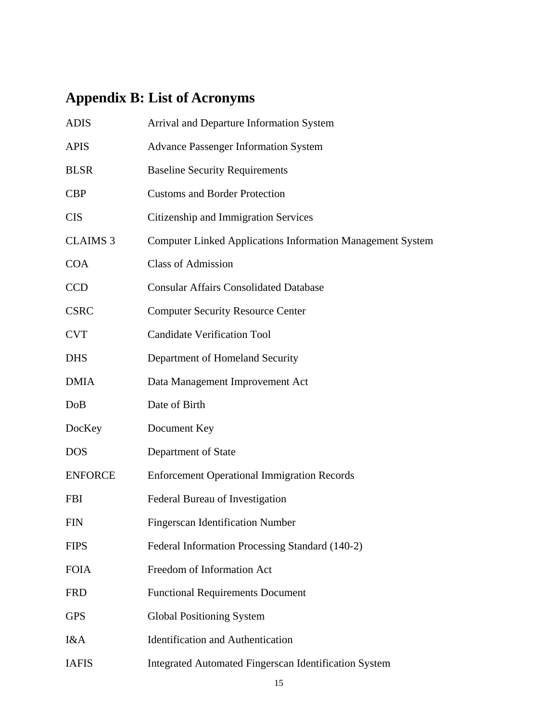# **Appendix B: List of Acronyms**

| <b>ADIS</b>     | Arrival and Departure Information System                          |
|-----------------|-------------------------------------------------------------------|
| <b>APIS</b>     | <b>Advance Passenger Information System</b>                       |
| <b>BLSR</b>     | <b>Baseline Security Requirements</b>                             |
| <b>CBP</b>      | <b>Customs and Border Protection</b>                              |
| <b>CIS</b>      | Citizenship and Immigration Services                              |
| <b>CLAIMS 3</b> | <b>Computer Linked Applications Information Management System</b> |
| <b>COA</b>      | <b>Class of Admission</b>                                         |
| <b>CCD</b>      | <b>Consular Affairs Consolidated Database</b>                     |
| <b>CSRC</b>     | <b>Computer Security Resource Center</b>                          |
| <b>CVT</b>      | <b>Candidate Verification Tool</b>                                |
| <b>DHS</b>      | Department of Homeland Security                                   |
| <b>DMIA</b>     | Data Management Improvement Act                                   |
| DoB             | Date of Birth                                                     |
| DocKey          | Document Key                                                      |
| <b>DOS</b>      | Department of State                                               |
| <b>ENFORCE</b>  | <b>Enforcement Operational Immigration Records</b>                |
| <b>FBI</b>      | Federal Bureau of Investigation                                   |
|                 |                                                                   |
| <b>FIN</b>      | <b>Fingerscan Identification Number</b>                           |
| <b>FIPS</b>     | Federal Information Processing Standard (140-2)                   |
| <b>FOIA</b>     | Freedom of Information Act                                        |
| <b>FRD</b>      | <b>Functional Requirements Document</b>                           |
| <b>GPS</b>      | <b>Global Positioning System</b>                                  |
| I&A             | <b>Identification and Authentication</b>                          |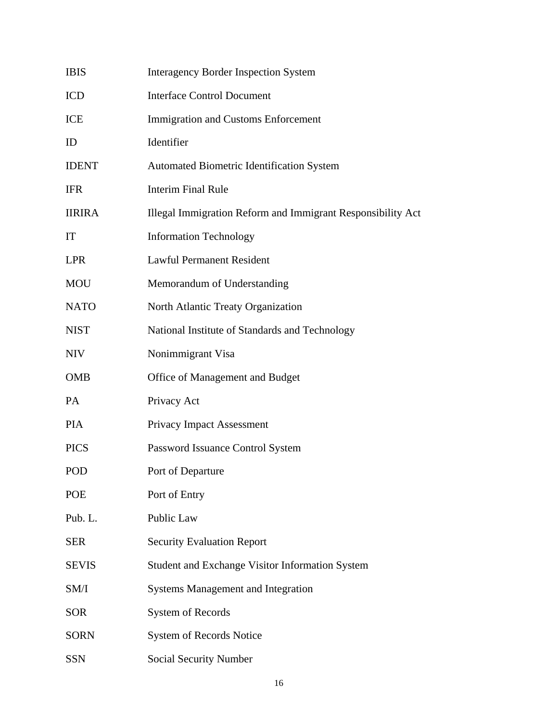| <b>IBIS</b>   | <b>Interagency Border Inspection System</b>                 |
|---------------|-------------------------------------------------------------|
| <b>ICD</b>    | <b>Interface Control Document</b>                           |
| ICE           | <b>Immigration and Customs Enforcement</b>                  |
| ID            | Identifier                                                  |
| <b>IDENT</b>  | <b>Automated Biometric Identification System</b>            |
| <b>IFR</b>    | <b>Interim Final Rule</b>                                   |
| <b>IIRIRA</b> | Illegal Immigration Reform and Immigrant Responsibility Act |
| IT            | <b>Information Technology</b>                               |
| <b>LPR</b>    | <b>Lawful Permanent Resident</b>                            |
| <b>MOU</b>    | Memorandum of Understanding                                 |
| <b>NATO</b>   | North Atlantic Treaty Organization                          |
| <b>NIST</b>   | National Institute of Standards and Technology              |
| <b>NIV</b>    | Nonimmigrant Visa                                           |
| <b>OMB</b>    | Office of Management and Budget                             |
| PA            | Privacy Act                                                 |
| <b>PIA</b>    | <b>Privacy Impact Assessment</b>                            |
| <b>PICS</b>   | Password Issuance Control System                            |
| POD           | Port of Departure                                           |
| POE           | Port of Entry                                               |
| Pub. L.       | Public Law                                                  |
| <b>SER</b>    | <b>Security Evaluation Report</b>                           |
| <b>SEVIS</b>  | <b>Student and Exchange Visitor Information System</b>      |
| SM/I          | <b>Systems Management and Integration</b>                   |
| <b>SOR</b>    | System of Records                                           |
| <b>SORN</b>   | <b>System of Records Notice</b>                             |
| <b>SSN</b>    | Social Security Number                                      |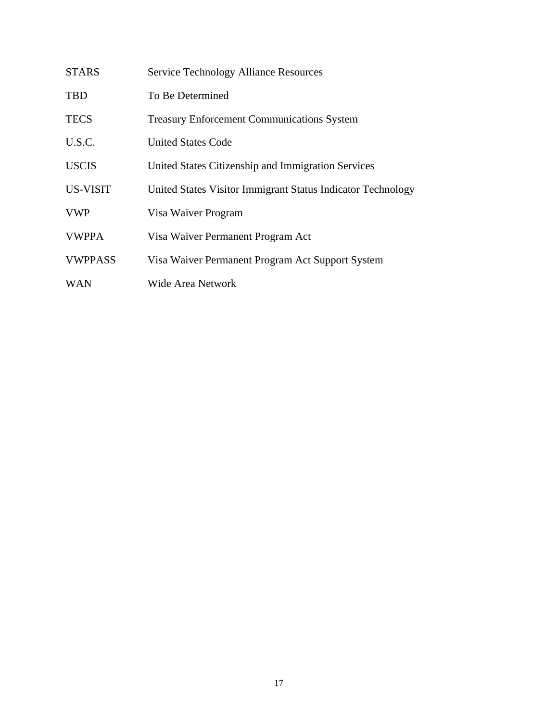| <b>STARS</b>   | <b>Service Technology Alliance Resources</b>                |
|----------------|-------------------------------------------------------------|
| TBD            | To Be Determined                                            |
| <b>TECS</b>    | <b>Treasury Enforcement Communications System</b>           |
| U.S.C.         | <b>United States Code</b>                                   |
| <b>USCIS</b>   | United States Citizenship and Immigration Services          |
| US-VISIT       | United States Visitor Immigrant Status Indicator Technology |
| <b>VWP</b>     | Visa Waiver Program                                         |
| <b>VWPPA</b>   | Visa Waiver Permanent Program Act                           |
| <b>VWPPASS</b> | Visa Waiver Permanent Program Act Support System            |
| <b>WAN</b>     | Wide Area Network                                           |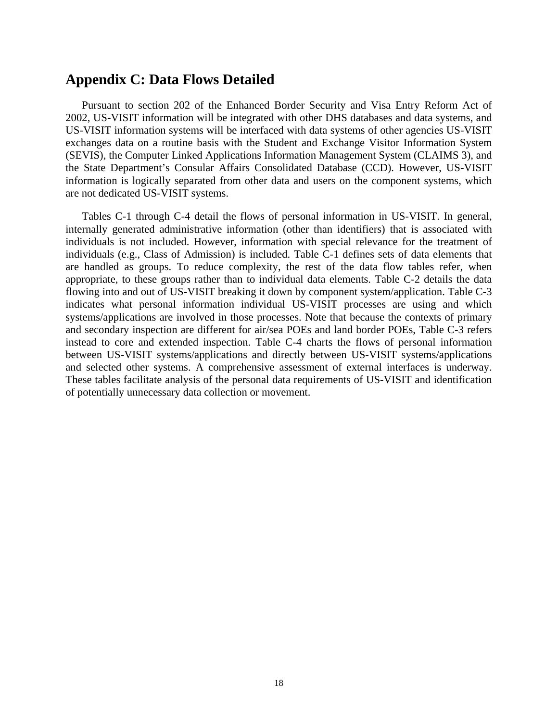### **Appendix C: Data Flows Detailed**

Pursuant to section 202 of the Enhanced Border Security and Visa Entry Reform Act of 2002, US-VISIT information will be integrated with other DHS databases and data systems, and US-VISIT information systems will be interfaced with data systems of other agencies US-VISIT exchanges data on a routine basis with the Student and Exchange Visitor Information System (SEVIS), the Computer Linked Applications Information Management System (CLAIMS 3), and the State Department's Consular Affairs Consolidated Database (CCD). However, US-VISIT information is logically separated from other data and users on the component systems, which are not dedicated US-VISIT systems.

Tables C-1 through C-4 detail the flows of personal information in US-VISIT. In general, internally generated administrative information (other than identifiers) that is associated with individuals is not included. However, information with special relevance for the treatment of individuals (e.g., Class of Admission) is included. Table C-1 defines sets of data elements that are handled as groups. To reduce complexity, the rest of the data flow tables refer, when appropriate, to these groups rather than to individual data elements. Table C-2 details the data flowing into and out of US-VISIT breaking it down by component system/application. Table C-3 indicates what personal information individual US-VISIT processes are using and which systems/applications are involved in those processes. Note that because the contexts of primary and secondary inspection are different for air/sea POEs and land border POEs, Table C-3 refers instead to core and extended inspection. Table C-4 charts the flows of personal information between US-VISIT systems/applications and directly between US-VISIT systems/applications and selected other systems. A comprehensive assessment of external interfaces is underway. These tables facilitate analysis of the personal data requirements of US-VISIT and identification of potentially unnecessary data collection or movement.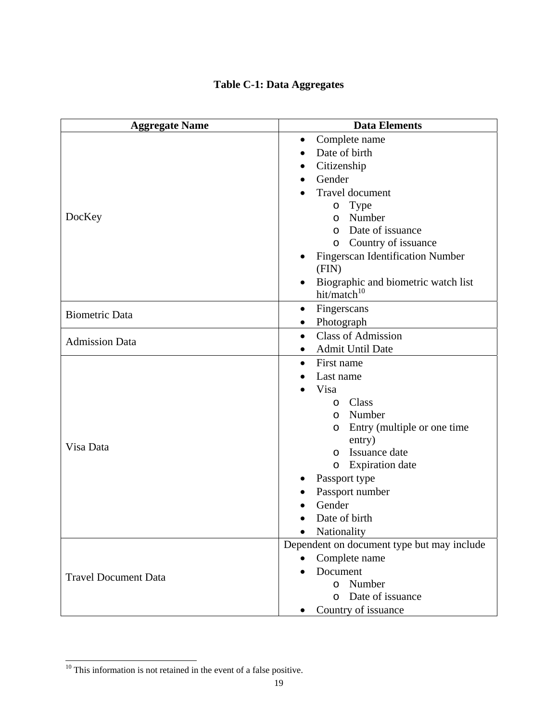# **Table C-1: Data Aggregates**

| <b>Aggregate Name</b>       | <b>Data Elements</b>                             |  |  |
|-----------------------------|--------------------------------------------------|--|--|
|                             | Complete name<br>$\bullet$                       |  |  |
|                             | Date of birth                                    |  |  |
|                             | Citizenship                                      |  |  |
|                             | Gender<br>$\bullet$                              |  |  |
|                             | Travel document                                  |  |  |
|                             | <b>Type</b><br>$\circ$                           |  |  |
| DocKey                      | Number<br>$\circ$                                |  |  |
|                             | Date of issuance<br>$\Omega$                     |  |  |
|                             | Country of issuance<br>$\circ$                   |  |  |
|                             | <b>Fingerscan Identification Number</b>          |  |  |
|                             | (FIN)                                            |  |  |
|                             | Biographic and biometric watch list<br>$\bullet$ |  |  |
|                             | hit/match <sup>10</sup>                          |  |  |
| <b>Biometric Data</b>       | Fingerscans<br>$\bullet$                         |  |  |
|                             | Photograph                                       |  |  |
| <b>Admission Data</b>       | <b>Class of Admission</b><br>$\bullet$           |  |  |
|                             | <b>Admit Until Date</b><br>$\bullet$             |  |  |
|                             | First name<br>$\bullet$                          |  |  |
|                             | Last name                                        |  |  |
|                             | Visa                                             |  |  |
|                             | Class<br>$\circ$                                 |  |  |
|                             | Number<br>$\circ$                                |  |  |
|                             | Entry (multiple or one time<br>O                 |  |  |
| Visa Data                   | entry)                                           |  |  |
|                             | Issuance date<br>$\circ$                         |  |  |
|                             | <b>Expiration</b> date<br>$\circ$                |  |  |
|                             | Passport type                                    |  |  |
|                             | Passport number                                  |  |  |
|                             | Gender                                           |  |  |
|                             | Date of birth                                    |  |  |
|                             | Nationality                                      |  |  |
|                             | Dependent on document type but may include       |  |  |
|                             | Complete name                                    |  |  |
| <b>Travel Document Data</b> | Document                                         |  |  |
|                             | o Number                                         |  |  |
|                             | Date of issuance<br>$\Omega$                     |  |  |
|                             | Country of issuance                              |  |  |

 $10$  This information is not retained in the event of a false positive.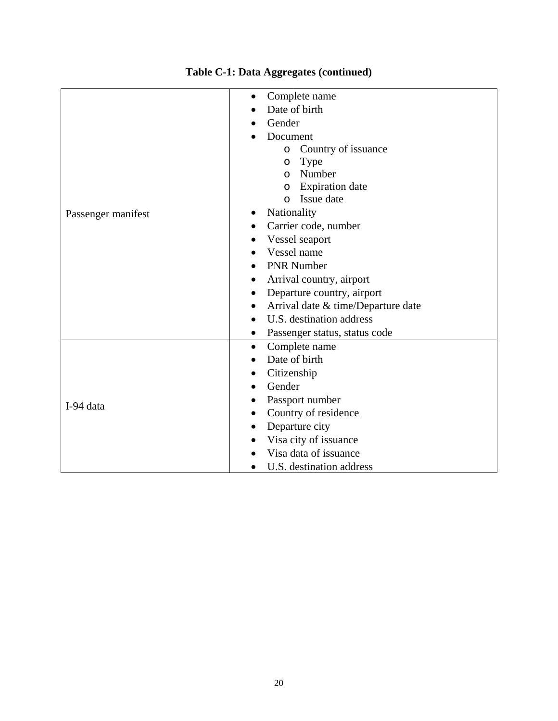|                    | Complete name                              |  |  |  |  |
|--------------------|--------------------------------------------|--|--|--|--|
|                    | Date of birth                              |  |  |  |  |
|                    | Gender                                     |  |  |  |  |
|                    | Document                                   |  |  |  |  |
|                    | Country of issuance<br>$\circ$             |  |  |  |  |
|                    | <b>Type</b><br>$\circ$                     |  |  |  |  |
|                    | Number<br>O                                |  |  |  |  |
|                    | <b>Expiration</b> date<br>O                |  |  |  |  |
|                    | Issue date<br>$\Omega$                     |  |  |  |  |
| Passenger manifest | Nationality                                |  |  |  |  |
|                    | Carrier code, number                       |  |  |  |  |
|                    | Vessel seaport                             |  |  |  |  |
|                    | Vessel name                                |  |  |  |  |
|                    | <b>PNR Number</b>                          |  |  |  |  |
|                    | Arrival country, airport                   |  |  |  |  |
|                    | Departure country, airport                 |  |  |  |  |
|                    | Arrival date & time/Departure date<br>٠    |  |  |  |  |
|                    | U.S. destination address                   |  |  |  |  |
|                    | Passenger status, status code<br>$\bullet$ |  |  |  |  |
|                    | Complete name<br>$\bullet$                 |  |  |  |  |
|                    | Date of birth                              |  |  |  |  |
|                    | Citizenship                                |  |  |  |  |
|                    | Gender                                     |  |  |  |  |
|                    | Passport number                            |  |  |  |  |
| I-94 data          | Country of residence                       |  |  |  |  |
|                    | Departure city                             |  |  |  |  |
|                    | Visa city of issuance                      |  |  |  |  |
|                    | Visa data of issuance                      |  |  |  |  |
|                    | U.S. destination address                   |  |  |  |  |

# **Table C-1: Data Aggregates (continued)**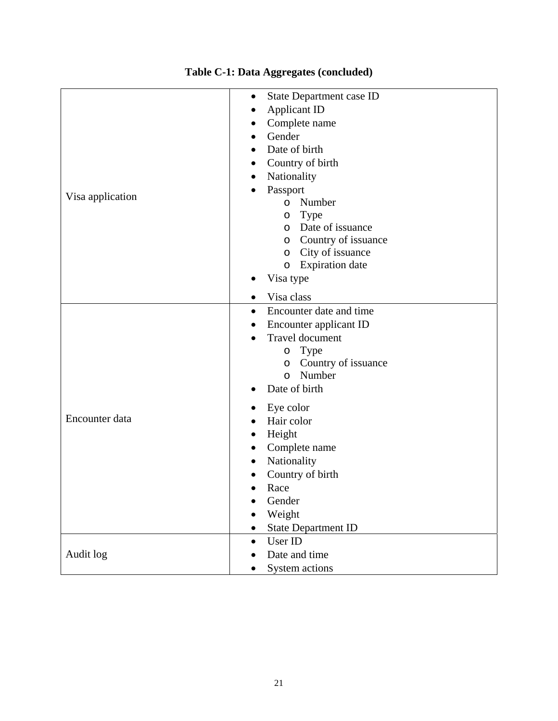| Visa application | State Department case ID<br>٠<br><b>Applicant ID</b><br>Complete name<br>Gender<br>Date of birth<br>$\bullet$<br>Country of birth<br>Nationality<br>٠<br>Passport<br>Number<br>$\circ$<br>Type<br>$\circ$<br>o Date of issuance<br>Country of issuance<br>$\circ$<br>City of issuance<br>$\circ$<br><b>Expiration</b> date<br>$\circ$ |  |  |
|------------------|---------------------------------------------------------------------------------------------------------------------------------------------------------------------------------------------------------------------------------------------------------------------------------------------------------------------------------------|--|--|
|                  | Visa type<br>Visa class<br>٠                                                                                                                                                                                                                                                                                                          |  |  |
|                  | Encounter date and time<br>٠<br>Encounter applicant ID<br><b>Travel document</b><br>Type<br>$\circ$<br>Country of issuance<br>O<br>Number<br>$\circ$<br>Date of birth<br>$\bullet$                                                                                                                                                    |  |  |
| Encounter data   | Eye color<br>Hair color<br>Height<br>٠<br>Complete name<br>$\bullet$<br>Nationality<br>٠<br>Country of birth<br>Race<br>$\bullet$<br>Gender<br>Weight<br><b>State Department ID</b>                                                                                                                                                   |  |  |
| Audit log        | User ID<br>$\bullet$<br>Date and time<br>System actions                                                                                                                                                                                                                                                                               |  |  |

# **Table C-1: Data Aggregates (concluded)**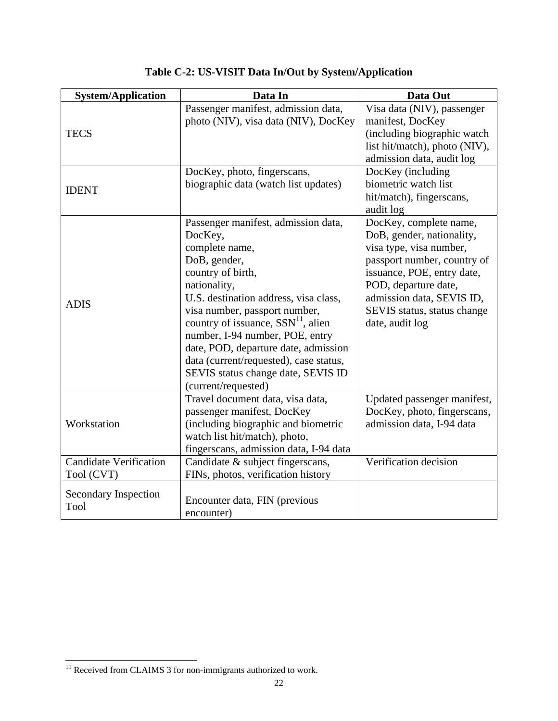| <b>System/Application</b>     | Data In                                | Data Out                      |
|-------------------------------|----------------------------------------|-------------------------------|
|                               | Passenger manifest, admission data,    | Visa data (NIV), passenger    |
|                               | photo (NIV), visa data (NIV), DocKey   | manifest, DocKey              |
| <b>TECS</b>                   |                                        | (including biographic watch   |
|                               |                                        | list hit/match), photo (NIV), |
|                               |                                        | admission data, audit log     |
|                               | DocKey, photo, fingerscans,            | DocKey (including             |
| <b>IDENT</b>                  | biographic data (watch list updates)   | biometric watch list          |
|                               |                                        | hit/match), fingerscans,      |
|                               |                                        | audit log                     |
|                               | Passenger manifest, admission data,    | DocKey, complete name,        |
|                               | DocKey,                                | DoB, gender, nationality,     |
|                               | complete name,                         | visa type, visa number,       |
|                               | DoB, gender,                           | passport number, country of   |
|                               | country of birth,                      | issuance, POE, entry date,    |
|                               | nationality,                           | POD, departure date,          |
| <b>ADIS</b>                   | U.S. destination address, visa class,  | admission data, SEVIS ID,     |
|                               | visa number, passport number,          | SEVIS status, status change   |
|                               | country of issuance, $SSN11$ , alien   | date, audit log               |
|                               | number, I-94 number, POE, entry        |                               |
|                               | date, POD, departure date, admission   |                               |
|                               | data (current/requested), case status, |                               |
|                               | SEVIS status change date, SEVIS ID     |                               |
|                               | (current/requested)                    |                               |
|                               | Travel document data, visa data,       | Updated passenger manifest,   |
|                               | passenger manifest, DocKey             | DocKey, photo, fingerscans,   |
| Workstation                   | (including biographic and biometric    | admission data, I-94 data     |
|                               | watch list hit/match), photo,          |                               |
|                               | fingerscans, admission data, I-94 data |                               |
| <b>Candidate Verification</b> | Candidate & subject fingerscans,       | Verification decision         |
| Tool (CVT)                    | FINs, photos, verification history     |                               |
| Secondary Inspection          |                                        |                               |
| Tool                          | Encounter data, FIN (previous          |                               |
|                               | encounter)                             |                               |

**Table C-2: US-VISIT Data In/Out by System/Application** 

 $11$  Received from CLAIMS 3 for non-immigrants authorized to work.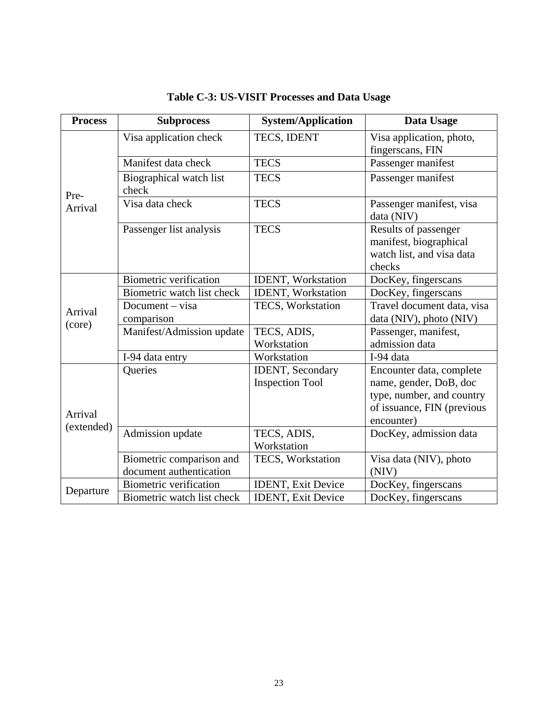| <b>Process</b>        | <b>Subprocess</b>                                                     | <b>System/Application</b>                          | Data Usage                                                                                                                  |  |
|-----------------------|-----------------------------------------------------------------------|----------------------------------------------------|-----------------------------------------------------------------------------------------------------------------------------|--|
|                       | Visa application check                                                | TECS, IDENT                                        | Visa application, photo,<br>fingerscans, FIN                                                                                |  |
|                       | Manifest data check                                                   | <b>TECS</b>                                        | Passenger manifest                                                                                                          |  |
| Pre-                  | Biographical watch list<br>check                                      | <b>TECS</b>                                        | Passenger manifest                                                                                                          |  |
| Arrival               | Visa data check                                                       | <b>TECS</b>                                        | Passenger manifest, visa<br>data (NIV)                                                                                      |  |
|                       | Passenger list analysis                                               | <b>TECS</b>                                        | Results of passenger<br>manifest, biographical<br>watch list, and visa data<br>checks                                       |  |
|                       | <b>Biometric verification</b>                                         | <b>IDENT</b> , Workstation                         | DocKey, fingerscans                                                                                                         |  |
|                       | Biometric watch list check                                            | <b>IDENT, Workstation</b>                          | DocKey, fingerscans                                                                                                         |  |
| Arrival               | Document – visa                                                       | TECS, Workstation                                  | Travel document data, visa<br>data (NIV), photo (NIV)                                                                       |  |
| (core)                | comparison<br>Manifest/Admission update<br>TECS, ADIS,<br>Workstation |                                                    | Passenger, manifest,<br>admission data                                                                                      |  |
|                       | I-94 data entry                                                       | Workstation                                        | I-94 data                                                                                                                   |  |
| Arrival<br>(extended) | Queries                                                               | <b>IDENT</b> , Secondary<br><b>Inspection Tool</b> | Encounter data, complete<br>name, gender, DoB, doc<br>type, number, and country<br>of issuance, FIN (previous<br>encounter) |  |
|                       | Admission update                                                      | TECS, ADIS,<br>Workstation                         | DocKey, admission data                                                                                                      |  |
|                       | Biometric comparison and<br>document authentication                   | TECS, Workstation                                  | Visa data (NIV), photo<br>(NIV)                                                                                             |  |
|                       | <b>Biometric verification</b>                                         | <b>IDENT</b> , Exit Device                         | DocKey, fingerscans                                                                                                         |  |
| Departure             | Biometric watch list check                                            | <b>IDENT, Exit Device</b>                          | DocKey, fingerscans                                                                                                         |  |

# **Table C-3: US-VISIT Processes and Data Usage**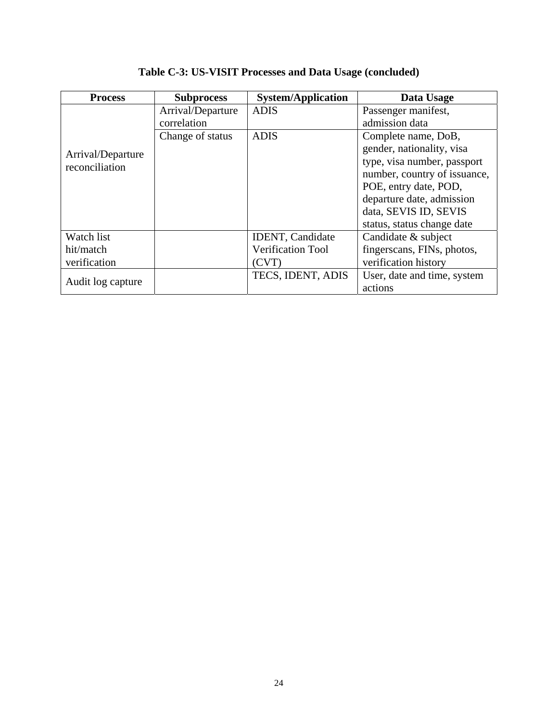| <b>Process</b>    | <b>Subprocess</b> | <b>System/Application</b> | Data Usage                   |
|-------------------|-------------------|---------------------------|------------------------------|
|                   | Arrival/Departure | <b>ADIS</b>               | Passenger manifest,          |
|                   | correlation       |                           | admission data               |
|                   | Change of status  | <b>ADIS</b>               | Complete name, DoB,          |
| Arrival/Departure |                   |                           | gender, nationality, visa    |
| reconciliation    |                   |                           | type, visa number, passport  |
|                   |                   |                           | number, country of issuance, |
|                   |                   |                           | POE, entry date, POD,        |
|                   |                   |                           | departure date, admission    |
|                   |                   |                           | data, SEVIS ID, SEVIS        |
|                   |                   |                           | status, status change date   |
| Watch list        |                   | <b>IDENT</b> , Candidate  | Candidate & subject          |
| hit/match         |                   | <b>Verification Tool</b>  | fingerscans, FINs, photos,   |
| verification      |                   | (CVT)                     | verification history         |
| Audit log capture |                   | TECS, IDENT, ADIS         | User, date and time, system  |
|                   |                   |                           | actions                      |

**Table C-3: US-VISIT Processes and Data Usage (concluded)**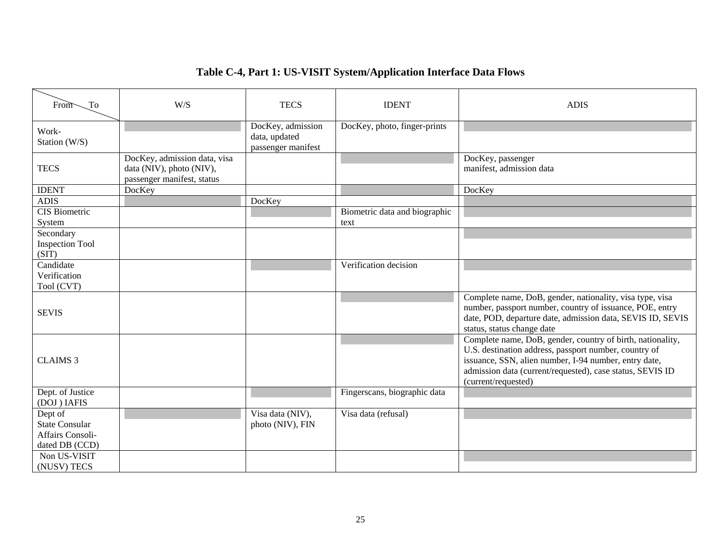# **Table C-4, Part 1: US-VISIT System/Application Interface Data Flows**

| From<br>To                                                                             | W/S                                                                                    | <b>TECS</b>                                              | <b>IDENT</b>                          | <b>ADIS</b>                                                                                                                                                                                                                                                      |
|----------------------------------------------------------------------------------------|----------------------------------------------------------------------------------------|----------------------------------------------------------|---------------------------------------|------------------------------------------------------------------------------------------------------------------------------------------------------------------------------------------------------------------------------------------------------------------|
| Work-<br>Station (W/S)                                                                 |                                                                                        | DocKey, admission<br>data, updated<br>passenger manifest | DocKey, photo, finger-prints          |                                                                                                                                                                                                                                                                  |
| <b>TECS</b>                                                                            | DocKey, admission data, visa<br>data (NIV), photo (NIV),<br>passenger manifest, status |                                                          |                                       | DocKey, passenger<br>manifest, admission data                                                                                                                                                                                                                    |
| <b>IDENT</b>                                                                           | DocKey                                                                                 |                                                          |                                       | DocKey                                                                                                                                                                                                                                                           |
| <b>ADIS</b>                                                                            |                                                                                        | DocKey                                                   |                                       |                                                                                                                                                                                                                                                                  |
| CIS Biometric<br>System                                                                |                                                                                        |                                                          | Biometric data and biographic<br>text |                                                                                                                                                                                                                                                                  |
| Secondary<br><b>Inspection Tool</b><br>(SIT)                                           |                                                                                        |                                                          |                                       |                                                                                                                                                                                                                                                                  |
| Candidate<br>Verification<br>Tool (CVT)                                                |                                                                                        |                                                          | Verification decision                 |                                                                                                                                                                                                                                                                  |
| <b>SEVIS</b>                                                                           |                                                                                        |                                                          |                                       | Complete name, DoB, gender, nationality, visa type, visa<br>number, passport number, country of issuance, POE, entry<br>date, POD, departure date, admission data, SEVIS ID, SEVIS<br>status, status change date                                                 |
| <b>CLAIMS 3</b>                                                                        |                                                                                        |                                                          |                                       | Complete name, DoB, gender, country of birth, nationality,<br>U.S. destination address, passport number, country of<br>issuance, SSN, alien number, I-94 number, entry date,<br>admission data (current/requested), case status, SEVIS ID<br>(current/requested) |
| Dept. of Justice<br>(DOJ) IAFIS                                                        |                                                                                        |                                                          | Fingerscans, biographic data          |                                                                                                                                                                                                                                                                  |
| Dept of<br><b>State Consular</b><br>Affairs Consoli-<br>dated DB (CCD)<br>Non US-VISIT |                                                                                        | Visa data (NIV),<br>photo (NIV), FIN                     | Visa data (refusal)                   |                                                                                                                                                                                                                                                                  |
| (NUSV) TECS                                                                            |                                                                                        |                                                          |                                       |                                                                                                                                                                                                                                                                  |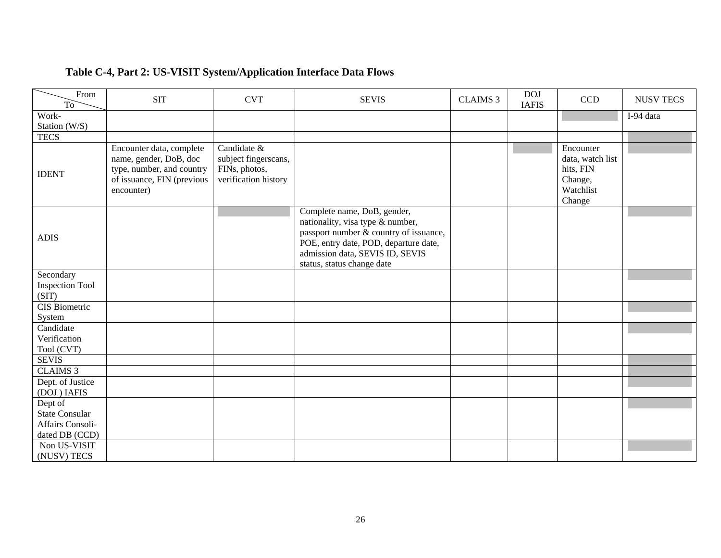| Table C-4, Part 2: US-VISIT System/Application Interface Data Flows |  |
|---------------------------------------------------------------------|--|
|---------------------------------------------------------------------|--|

| From<br>T <sub>o</sub>          | <b>SIT</b>                                                                                                                  | <b>CVT</b>                                                                   | <b>SEVIS</b>                                                                                                                                                                                                        | <b>CLAIMS 3</b> | <b>DOJ</b><br><b>IAFIS</b> | CCD                                                                          | <b>NUSV TECS</b> |
|---------------------------------|-----------------------------------------------------------------------------------------------------------------------------|------------------------------------------------------------------------------|---------------------------------------------------------------------------------------------------------------------------------------------------------------------------------------------------------------------|-----------------|----------------------------|------------------------------------------------------------------------------|------------------|
| Work-                           |                                                                                                                             |                                                                              |                                                                                                                                                                                                                     |                 |                            |                                                                              | I-94 data        |
| Station (W/S)                   |                                                                                                                             |                                                                              |                                                                                                                                                                                                                     |                 |                            |                                                                              |                  |
| <b>TECS</b>                     |                                                                                                                             |                                                                              |                                                                                                                                                                                                                     |                 |                            |                                                                              |                  |
| <b>IDENT</b>                    | Encounter data, complete<br>name, gender, DoB, doc<br>type, number, and country<br>of issuance, FIN (previous<br>encounter) | Candidate &<br>subject fingerscans,<br>FINs, photos,<br>verification history |                                                                                                                                                                                                                     |                 |                            | Encounter<br>data, watch list<br>hits, FIN<br>Change,<br>Watchlist<br>Change |                  |
| <b>ADIS</b>                     |                                                                                                                             |                                                                              | Complete name, DoB, gender,<br>nationality, visa type & number,<br>passport number & country of issuance,<br>POE, entry date, POD, departure date,<br>admission data, SEVIS ID, SEVIS<br>status, status change date |                 |                            |                                                                              |                  |
| Secondary                       |                                                                                                                             |                                                                              |                                                                                                                                                                                                                     |                 |                            |                                                                              |                  |
| <b>Inspection Tool</b>          |                                                                                                                             |                                                                              |                                                                                                                                                                                                                     |                 |                            |                                                                              |                  |
| (SIT)                           |                                                                                                                             |                                                                              |                                                                                                                                                                                                                     |                 |                            |                                                                              |                  |
| CIS Biometric                   |                                                                                                                             |                                                                              |                                                                                                                                                                                                                     |                 |                            |                                                                              |                  |
| System                          |                                                                                                                             |                                                                              |                                                                                                                                                                                                                     |                 |                            |                                                                              |                  |
| Candidate                       |                                                                                                                             |                                                                              |                                                                                                                                                                                                                     |                 |                            |                                                                              |                  |
| Verification                    |                                                                                                                             |                                                                              |                                                                                                                                                                                                                     |                 |                            |                                                                              |                  |
| Tool (CVT)                      |                                                                                                                             |                                                                              |                                                                                                                                                                                                                     |                 |                            |                                                                              |                  |
| <b>SEVIS</b>                    |                                                                                                                             |                                                                              |                                                                                                                                                                                                                     |                 |                            |                                                                              |                  |
| CLAIMS <sub>3</sub>             |                                                                                                                             |                                                                              |                                                                                                                                                                                                                     |                 |                            |                                                                              |                  |
| Dept. of Justice<br>(DOJ) IAFIS |                                                                                                                             |                                                                              |                                                                                                                                                                                                                     |                 |                            |                                                                              |                  |
| Dept of                         |                                                                                                                             |                                                                              |                                                                                                                                                                                                                     |                 |                            |                                                                              |                  |
| <b>State Consular</b>           |                                                                                                                             |                                                                              |                                                                                                                                                                                                                     |                 |                            |                                                                              |                  |
| Affairs Consoli-                |                                                                                                                             |                                                                              |                                                                                                                                                                                                                     |                 |                            |                                                                              |                  |
| dated DB (CCD)                  |                                                                                                                             |                                                                              |                                                                                                                                                                                                                     |                 |                            |                                                                              |                  |
| Non US-VISIT                    |                                                                                                                             |                                                                              |                                                                                                                                                                                                                     |                 |                            |                                                                              |                  |
| (NUSV) TECS                     |                                                                                                                             |                                                                              |                                                                                                                                                                                                                     |                 |                            |                                                                              |                  |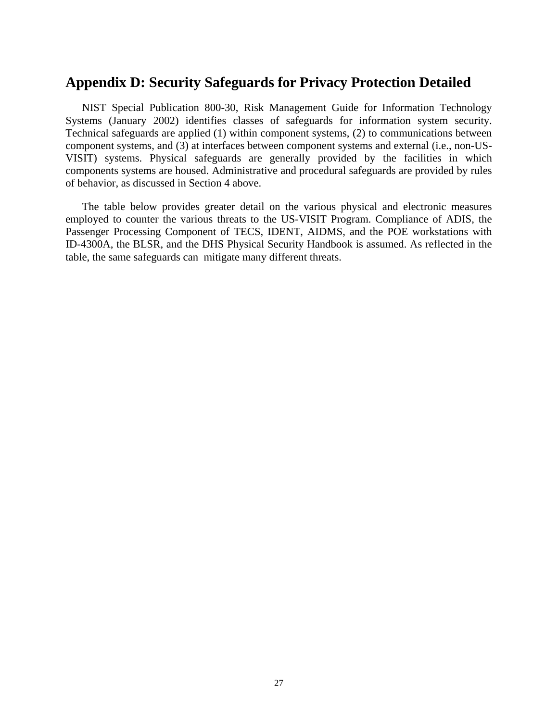### **Appendix D: Security Safeguards for Privacy Protection Detailed**

NIST Special Publication 800-30, Risk Management Guide for Information Technology Systems (January 2002) identifies classes of safeguards for information system security. Technical safeguards are applied (1) within component systems, (2) to communications between component systems, and (3) at interfaces between component systems and external (i.e., non-US-VISIT) systems. Physical safeguards are generally provided by the facilities in which components systems are housed. Administrative and procedural safeguards are provided by rules of behavior, as discussed in Section 4 above.

The table below provides greater detail on the various physical and electronic measures employed to counter the various threats to the US-VISIT Program. Compliance of ADIS, the Passenger Processing Component of TECS, IDENT, AIDMS, and the POE workstations with ID-4300A, the BLSR, and the DHS Physical Security Handbook is assumed. As reflected in the table, the same safeguards can mitigate many different threats.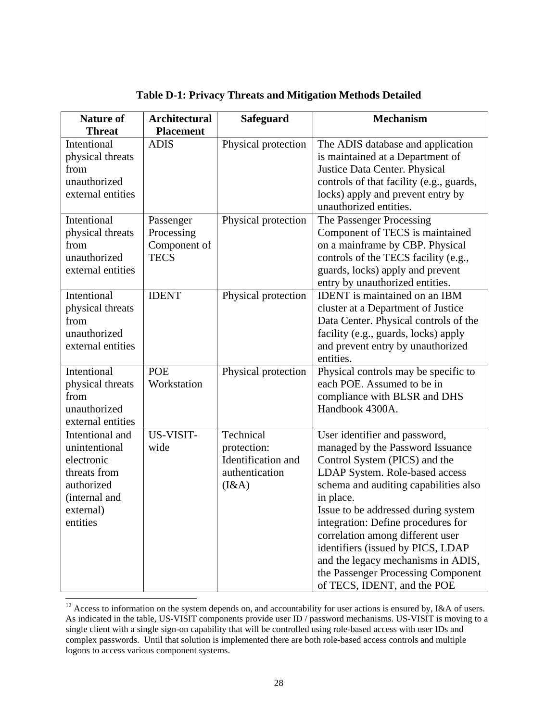| <b>Nature of</b><br><b>Threat</b>                                                                                      | <b>Architectural</b><br><b>Placement</b>               | <b>Safeguard</b>                                                          | <b>Mechanism</b>                                                                                                                                                                                                                                                                                                                                                                                                                                            |
|------------------------------------------------------------------------------------------------------------------------|--------------------------------------------------------|---------------------------------------------------------------------------|-------------------------------------------------------------------------------------------------------------------------------------------------------------------------------------------------------------------------------------------------------------------------------------------------------------------------------------------------------------------------------------------------------------------------------------------------------------|
| <b>Intentional</b><br>physical threats<br>from<br>unauthorized<br>external entities                                    | <b>ADIS</b>                                            | Physical protection                                                       | The ADIS database and application<br>is maintained at a Department of<br>Justice Data Center. Physical<br>controls of that facility (e.g., guards,<br>locks) apply and prevent entry by<br>unauthorized entities.                                                                                                                                                                                                                                           |
| Intentional<br>physical threats<br>from<br>unauthorized<br>external entities                                           | Passenger<br>Processing<br>Component of<br><b>TECS</b> | Physical protection                                                       | The Passenger Processing<br>Component of TECS is maintained<br>on a mainframe by CBP. Physical<br>controls of the TECS facility (e.g.,<br>guards, locks) apply and prevent<br>entry by unauthorized entities.                                                                                                                                                                                                                                               |
| Intentional<br>physical threats<br>from<br>unauthorized<br>external entities                                           | <b>IDENT</b>                                           | Physical protection                                                       | <b>IDENT</b> is maintained on an IBM<br>cluster at a Department of Justice<br>Data Center. Physical controls of the<br>facility (e.g., guards, locks) apply<br>and prevent entry by unauthorized<br>entities.                                                                                                                                                                                                                                               |
| Intentional<br>physical threats<br>from<br>unauthorized<br>external entities                                           | <b>POE</b><br>Workstation                              | Physical protection                                                       | Physical controls may be specific to<br>each POE. Assumed to be in<br>compliance with BLSR and DHS<br>Handbook 4300A.                                                                                                                                                                                                                                                                                                                                       |
| Intentional and<br>unintentional<br>electronic<br>threats from<br>authorized<br>(internal and<br>external)<br>entities | US-VISIT-<br>wide                                      | Technical<br>protection:<br>Identification and<br>authentication<br>(I&A) | User identifier and password,<br>managed by the Password Issuance<br>Control System (PICS) and the<br>LDAP System. Role-based access<br>schema and auditing capabilities also<br>in place.<br>Issue to be addressed during system<br>integration: Define procedures for<br>correlation among different user<br>identifiers (issued by PICS, LDAP<br>and the legacy mechanisms in ADIS,<br>the Passenger Processing Component<br>of TECS, IDENT, and the POE |

**Table D-1: Privacy Threats and Mitigation Methods Detailed** 

 $12$  Access to information on the system depends on, and accountability for user actions is ensured by, I&A of users. As indicated in the table, US-VISIT components provide user ID / password mechanisms. US-VISIT is moving to a single client with a single sign-on capability that will be controlled using role-based access with user IDs and complex passwords. Until that solution is implemented there are both role-based access controls and multiple logons to access various component systems.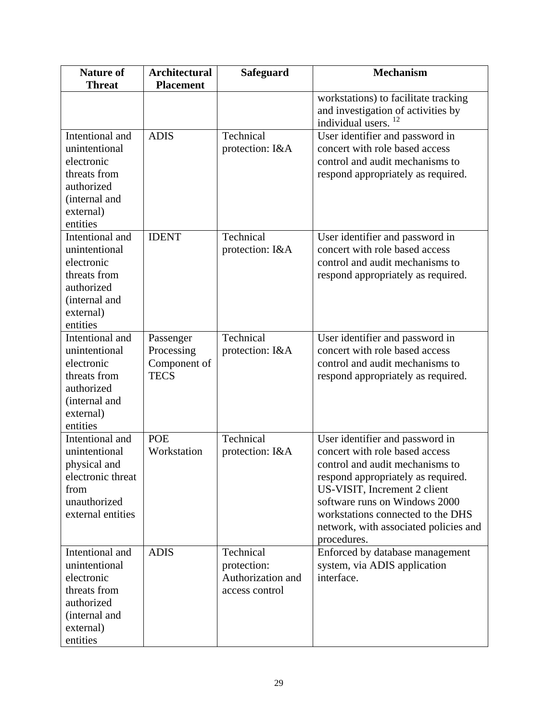| <b>Nature of</b><br><b>Threat</b>                                                                                      | <b>Architectural</b><br><b>Placement</b>               | <b>Safeguard</b>                                                | <b>Mechanism</b>                                                                                                                                                                                                                                                                                         |
|------------------------------------------------------------------------------------------------------------------------|--------------------------------------------------------|-----------------------------------------------------------------|----------------------------------------------------------------------------------------------------------------------------------------------------------------------------------------------------------------------------------------------------------------------------------------------------------|
|                                                                                                                        |                                                        |                                                                 | workstations) to facilitate tracking<br>and investigation of activities by<br>individual users.                                                                                                                                                                                                          |
| Intentional and<br>unintentional<br>electronic<br>threats from<br>authorized<br>(internal and<br>external)<br>entities | <b>ADIS</b>                                            | Technical<br>protection: I&A                                    | User identifier and password in<br>concert with role based access<br>control and audit mechanisms to<br>respond appropriately as required.                                                                                                                                                               |
| Intentional and<br>unintentional<br>electronic<br>threats from<br>authorized<br>(internal and<br>external)<br>entities | <b>IDENT</b>                                           | Technical<br>protection: I&A                                    | User identifier and password in<br>concert with role based access<br>control and audit mechanisms to<br>respond appropriately as required.                                                                                                                                                               |
| Intentional and<br>unintentional<br>electronic<br>threats from<br>authorized<br>(internal and<br>external)<br>entities | Passenger<br>Processing<br>Component of<br><b>TECS</b> | Technical<br>protection: I&A                                    | User identifier and password in<br>concert with role based access<br>control and audit mechanisms to<br>respond appropriately as required.                                                                                                                                                               |
| Intentional and<br>unintentional<br>physical and<br>electronic threat<br>from<br>unauthorized<br>external entities     | <b>POE</b><br>Workstation                              | Technical<br>protection: I&A                                    | User identifier and password in<br>concert with role based access<br>control and audit mechanisms to<br>respond appropriately as required.<br>US-VISIT, Increment 2 client<br>software runs on Windows 2000<br>workstations connected to the DHS<br>network, with associated policies and<br>procedures. |
| Intentional and<br>unintentional<br>electronic<br>threats from<br>authorized<br>(internal and<br>external)<br>entities | <b>ADIS</b>                                            | Technical<br>protection:<br>Authorization and<br>access control | Enforced by database management<br>system, via ADIS application<br>interface.                                                                                                                                                                                                                            |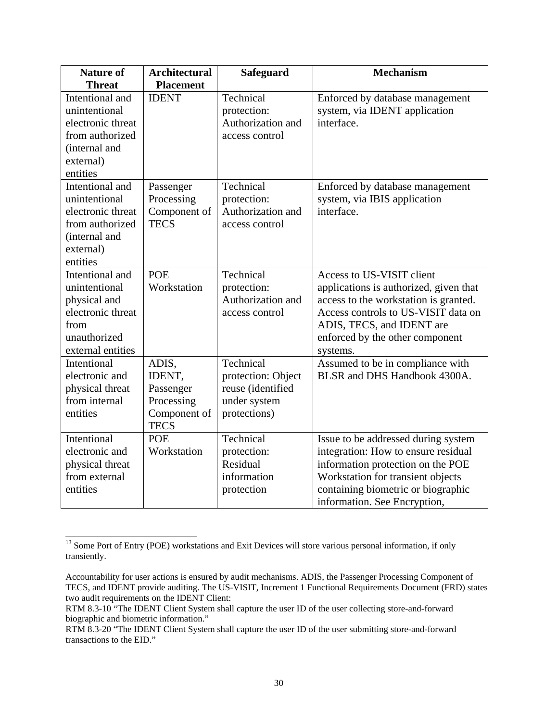| <b>Nature of</b>  | <b>Architectural</b> | <b>Safeguard</b>   | <b>Mechanism</b>                       |
|-------------------|----------------------|--------------------|----------------------------------------|
| <b>Threat</b>     | <b>Placement</b>     |                    |                                        |
| Intentional and   | <b>IDENT</b>         | Technical          | Enforced by database management        |
| unintentional     |                      | protection:        | system, via IDENT application          |
| electronic threat |                      | Authorization and  | interface.                             |
| from authorized   |                      | access control     |                                        |
| (internal and     |                      |                    |                                        |
| external)         |                      |                    |                                        |
| entities          |                      |                    |                                        |
| Intentional and   | Passenger            | Technical          | Enforced by database management        |
| unintentional     | Processing           | protection:        | system, via IBIS application           |
| electronic threat | Component of         | Authorization and  | interface.                             |
| from authorized   | <b>TECS</b>          | access control     |                                        |
| (internal and     |                      |                    |                                        |
| external)         |                      |                    |                                        |
| entities          |                      |                    |                                        |
| Intentional and   | <b>POE</b>           | Technical          | Access to US-VISIT client              |
| unintentional     | Workstation          | protection:        | applications is authorized, given that |
| physical and      |                      | Authorization and  | access to the workstation is granted.  |
| electronic threat |                      | access control     | Access controls to US-VISIT data on    |
| from              |                      |                    | ADIS, TECS, and IDENT are              |
| unauthorized      |                      |                    | enforced by the other component        |
| external entities |                      |                    | systems.                               |
| Intentional       | ADIS,                | Technical          | Assumed to be in compliance with       |
| electronic and    | IDENT,               | protection: Object | BLSR and DHS Handbook 4300A.           |
| physical threat   | Passenger            | reuse (identified  |                                        |
| from internal     | Processing           | under system       |                                        |
| entities          | Component of         | protections)       |                                        |
|                   | <b>TECS</b>          |                    |                                        |
| Intentional       | <b>POE</b>           | Technical          | Issue to be addressed during system    |
| electronic and    | Workstation          | protection:        | integration: How to ensure residual    |
| physical threat   |                      | Residual           | information protection on the POE      |
| from external     |                      | information        | Workstation for transient objects      |
| entities          |                      | protection         | containing biometric or biographic     |
|                   |                      |                    | information. See Encryption,           |

<sup>&</sup>lt;sup>13</sup> Some Port of Entry (POE) workstations and Exit Devices will store various personal information, if only transiently.

two audit requirements on the IDENT Client: Accountability for user actions is ensured by audit mechanisms. ADIS, the Passenger Processing Component of TECS, and IDENT provide auditing. The US-VISIT, Increment 1 Functional Requirements Document (FRD) states

RTM 8.3-10 "The IDENT Client System shall capture the user ID of the user collecting store-and-forward biographic and biometric information."

RTM 8.3-20 "The IDENT Client System shall capture the user ID of the user submitting store-and-forward transactions to the EID."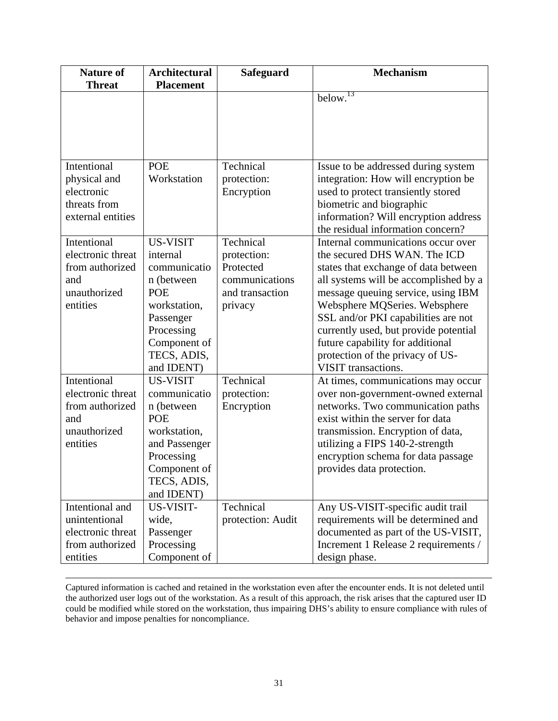| <b>Nature of</b>                 | <b>Architectural</b> | <b>Safeguard</b>  | <b>Mechanism</b>                                                           |
|----------------------------------|----------------------|-------------------|----------------------------------------------------------------------------|
| <b>Threat</b>                    | <b>Placement</b>     |                   |                                                                            |
|                                  |                      |                   | below. <sup>13</sup>                                                       |
| Intentional                      | <b>POE</b>           | Technical         | Issue to be addressed during system                                        |
| physical and                     | Workstation          | protection:       | integration: How will encryption be                                        |
| electronic                       |                      | Encryption        | used to protect transiently stored                                         |
| threats from                     |                      |                   | biometric and biographic                                                   |
| external entities                |                      |                   | information? Will encryption address                                       |
|                                  |                      |                   | the residual information concern?                                          |
| Intentional                      | <b>US-VISIT</b>      | Technical         | Internal communications occur over                                         |
| electronic threat                | internal             | protection:       | the secured DHS WAN. The ICD                                               |
| from authorized                  | communicatio         | Protected         | states that exchange of data between                                       |
| and                              | n (between           | communications    | all systems will be accomplished by a                                      |
| unauthorized                     | <b>POE</b>           | and transaction   | message queuing service, using IBM                                         |
| entities                         | workstation,         | privacy           | Websphere MQSeries. Websphere                                              |
|                                  | Passenger            |                   | SSL and/or PKI capabilities are not                                        |
|                                  | Processing           |                   | currently used, but provide potential                                      |
|                                  | Component of         |                   | future capability for additional                                           |
|                                  | TECS, ADIS,          |                   | protection of the privacy of US-                                           |
|                                  | and IDENT)           |                   | VISIT transactions.                                                        |
| Intentional                      | <b>US-VISIT</b>      | Technical         | At times, communications may occur                                         |
| electronic threat                | communicatio         | protection:       | over non-government-owned external                                         |
| from authorized                  | n (between           | Encryption        | networks. Two communication paths                                          |
| and                              | <b>POE</b>           |                   | exist within the server for data                                           |
| unauthorized                     | workstation,         |                   | transmission. Encryption of data,                                          |
| entities                         | and Passenger        |                   | utilizing a FIPS 140-2-strength                                            |
|                                  | Processing           |                   | encryption schema for data passage                                         |
|                                  | Component of         |                   | provides data protection.                                                  |
|                                  | TECS, ADIS,          |                   |                                                                            |
|                                  | and IDENT)           |                   |                                                                            |
| Intentional and<br>unintentional | US-VISIT-<br>wide,   | Technical         | Any US-VISIT-specific audit trail                                          |
| electronic threat                | Passenger            | protection: Audit | requirements will be determined and<br>documented as part of the US-VISIT, |
| from authorized                  | Processing           |                   | Increment 1 Release 2 requirements /                                       |
| entities                         | Component of         |                   | design phase.                                                              |
|                                  |                      |                   |                                                                            |

 the authorized user logs out of the workstation. As a result of this approach, the risk arises that the captured user ID Captured information is cached and retained in the workstation even after the encounter ends. It is not deleted until could be modified while stored on the workstation, thus impairing DHS's ability to ensure compliance with rules of behavior and impose penalties for noncompliance.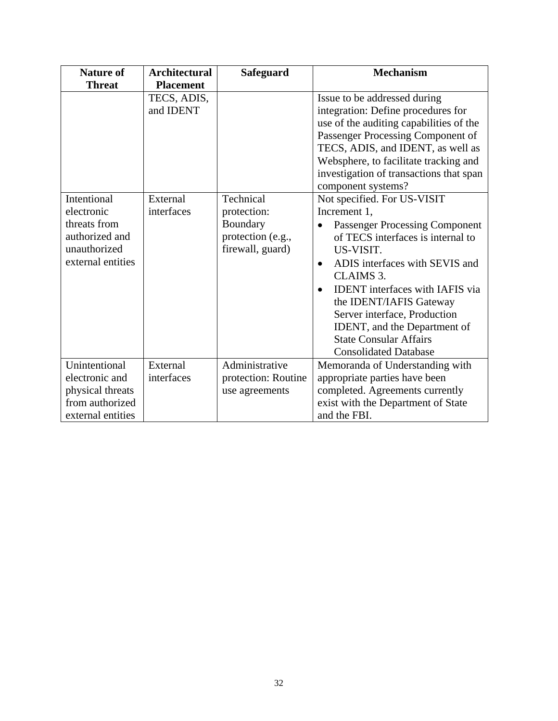| <b>Nature of</b>                                                                                 | <b>Architectural</b>     | <b>Safeguard</b>                                                              | <b>Mechanism</b>                                                                                                                                                                                                                                                                                                                                                                                                      |
|--------------------------------------------------------------------------------------------------|--------------------------|-------------------------------------------------------------------------------|-----------------------------------------------------------------------------------------------------------------------------------------------------------------------------------------------------------------------------------------------------------------------------------------------------------------------------------------------------------------------------------------------------------------------|
| <b>Threat</b>                                                                                    | <b>Placement</b>         |                                                                               |                                                                                                                                                                                                                                                                                                                                                                                                                       |
|                                                                                                  | TECS, ADIS,<br>and IDENT |                                                                               | Issue to be addressed during<br>integration: Define procedures for<br>use of the auditing capabilities of the<br>Passenger Processing Component of<br>TECS, ADIS, and IDENT, as well as<br>Websphere, to facilitate tracking and<br>investigation of transactions that span<br>component systems?                                                                                                                     |
| Intentional<br>electronic<br>threats from<br>authorized and<br>unauthorized<br>external entities | External<br>interfaces   | Technical<br>protection:<br>Boundary<br>protection (e.g.,<br>firewall, guard) | Not specified. For US-VISIT<br>Increment 1,<br><b>Passenger Processing Component</b><br>of TECS interfaces is internal to<br>US-VISIT.<br>ADIS interfaces with SEVIS and<br>$\bullet$<br>CLAIMS 3.<br><b>IDENT</b> interfaces with IAFIS via<br>$\bullet$<br>the IDENT/IAFIS Gateway<br>Server interface, Production<br>IDENT, and the Department of<br><b>State Consular Affairs</b><br><b>Consolidated Database</b> |
| Unintentional<br>electronic and<br>physical threats<br>from authorized<br>external entities      | External<br>interfaces   | Administrative<br>protection: Routine<br>use agreements                       | Memoranda of Understanding with<br>appropriate parties have been<br>completed. Agreements currently<br>exist with the Department of State<br>and the FBI.                                                                                                                                                                                                                                                             |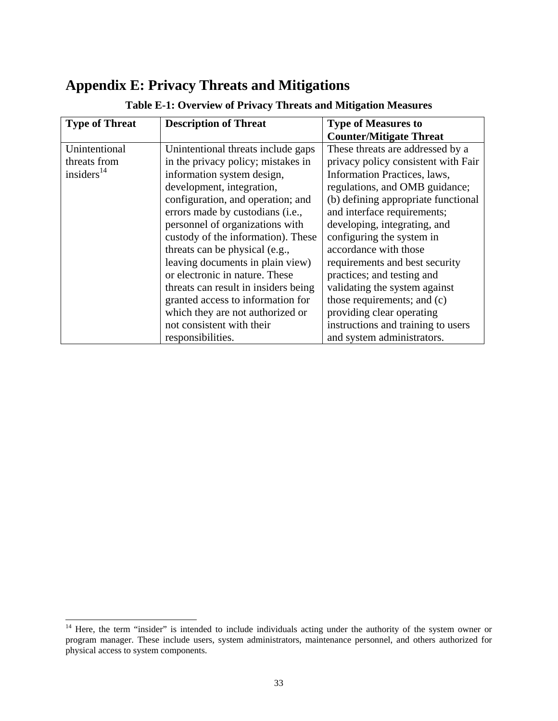# **Appendix E: Privacy Threats and Mitigations**

| <b>Type of Threat</b> | <b>Description of Threat</b>         | <b>Type of Measures to</b>          |
|-----------------------|--------------------------------------|-------------------------------------|
|                       |                                      | <b>Counter/Mitigate Threat</b>      |
| Unintentional         | Unintentional threats include gaps   | These threats are addressed by a    |
| threats from          | in the privacy policy; mistakes in   | privacy policy consistent with Fair |
| insiders $^{14}$      | information system design,           | Information Practices, laws,        |
|                       | development, integration,            | regulations, and OMB guidance;      |
|                       | configuration, and operation; and    | (b) defining appropriate functional |
|                       | errors made by custodians (i.e.,     | and interface requirements;         |
|                       | personnel of organizations with      | developing, integrating, and        |
|                       | custody of the information). These   | configuring the system in           |
|                       | threats can be physical (e.g.,       | accordance with those               |
|                       | leaving documents in plain view)     | requirements and best security      |
|                       | or electronic in nature. These       | practices; and testing and          |
|                       | threats can result in insiders being | validating the system against       |
|                       | granted access to information for    | those requirements; and (c)         |
|                       | which they are not authorized or     | providing clear operating           |
|                       | not consistent with their            | instructions and training to users  |
|                       | responsibilities.                    | and system administrators.          |

### **Table E-1: Overview of Privacy Threats and Mitigation Measures**

l

<sup>&</sup>lt;sup>14</sup> Here, the term "insider" is intended to include individuals acting under the authority of the system owner or program manager. These include users, system administrators, maintenance personnel, and others authorized for physical access to system components.